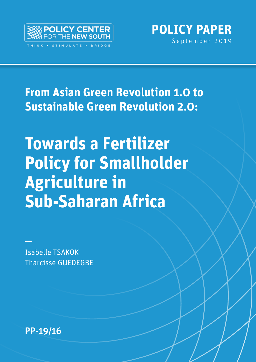

STIMULATE . BRIDGE



# **From Asian Green Revolution 1.0 to Sustainable Green Revolution 2.0:**

# **Towards a Fertilizer Policy for Smallholder Agriculture in Sub-Saharan Africa**

Isabelle TSAKOK Tharcisse GUEDEGBE

PP-19/16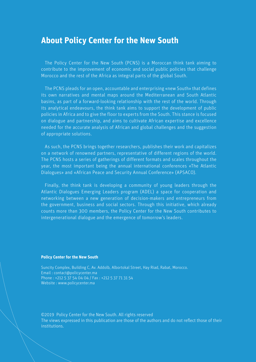# **About Policy Center for the New South**

The Policy Center for the New South (PCNS) is a Moroccan think tank aiming to contribute to the improvement of economic and social public policies that challenge Morocco and the rest of the Africa as integral parts of the global South.

The PCNS pleads for an open, accountable and enterprising «new South» that defines its own narratives and mental maps around the Mediterranean and South Atlantic basins, as part of a forward-looking relationship with the rest of the world. Through its analytical endeavours, the think tank aims to support the development of public policies in Africa and to give the floor to experts from the South. This stance is focused on dialogue and partnership, and aims to cultivate African expertise and excellence needed for the accurate analysis of African and global challenges and the suggestion of appropriate solutions.

As such, the PCNS brings together researchers, publishes their work and capitalizes on a network of renowned partners, representative of different regions of the world. The PCNS hosts a series of gatherings of different formats and scales throughout the year, the most important being the annual international conferences «The Atlantic Dialogues» and «African Peace and Security Annual Conference» (APSACO).

Finally, the think tank is developing a community of young leaders through the Atlantic Dialogues Emerging Leaders program (ADEL) a space for cooperation and networking between a new generation of decision-makers and entrepreneurs from the government, business and social sectors. Through this initiative, which already counts more than 300 members, the Policy Center for the New South contributes to intergenerational dialogue and the emergence of tomorrow's leaders.

#### **Policy Center for the New South**

Suncity Complex, Building C, Av. Addolb, Albortokal Street, Hay Riad, Rabat, Morocco. Email : contact@policycenter.ma Phone : +212 5 37 54 04 04 / Fax : +212 5 37 71 31 54 Website : www.policycenter.ma

©2019 Policy Center for the New South. All rights reserved The views expressed in this publication are those of the authors and do not reflect those of their institutions.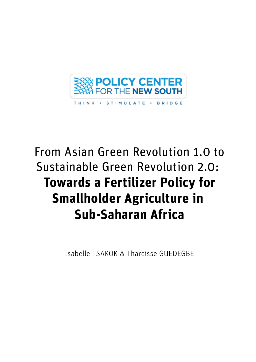

# From Asian Green Revolution 1.0 to Sustainable Green Revolution 2.0: **Towards a Fertilizer Policy for Smallholder Agriculture in Sub-Saharan Africa**

Isabelle TSAKOK & Tharcisse GUEDEGBE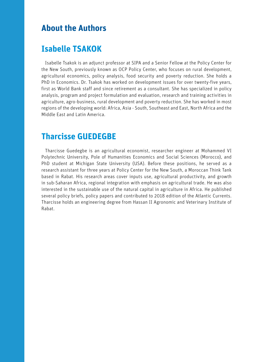# **About the Authors**

# **Isabelle TSAKOK**

Isabelle Tsakok is an adjunct professor at SIPA and a Senior Fellow at the Policy Center for the New South, previously known as OCP Policy Center, who focuses on rural development, agricultural economics, policy analysis, food security and poverty reduction. She holds a PhD in Economics. Dr. Tsakok has worked on development issues for over twenty-five years, first as World Bank staff and since retirement as a consultant. She has specialized in policy analysis, program and project formulation and evaluation, research and training activities in agriculture, agro-business, rural development and poverty reduction. She has worked in most regions of the developing world: Africa, Asia - South, Southeast and East, North Africa and the Middle East and Latin America.

# **Tharcisse GUEDEGBE**

Tharcisse Guedegbe is an agricultural economist, researcher engineer at Mohammed VI Polytechnic University, Pole of Humanities Economics and Social Sciences (Morocco), and PhD student at Michigan State University (USA). Before these positions, he served as a research assistant for three years at Policy Center for the New South, a Moroccan Think Tank based in Rabat. His research areas cover inputs use, agricultural productivity, and growth in sub-Saharan Africa, regional integration with emphasis on agricultural trade. He was also interested in the sustainable use of the natural capital in agriculture in Africa. He published several policy briefs, policy papers and contributed to 2018 edition of the Atlantic Currents. Tharcisse holds an engineering degree from Hassan II Agronomic and Veterinary Institute of Rabat.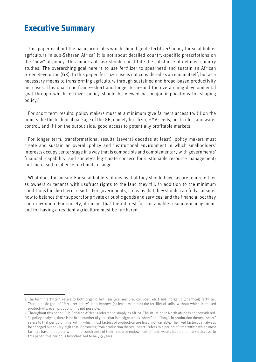# **Executive Summary**

This paper is about the basic principles which should guide fertilizer<sup>1</sup> policy for smallholder agriculture in sub-Saharan Africa<sup>2</sup> It is not about detailed country-specific prescriptions on the "how" of policy. This important task should constitute the substance of detailed country studies. The overarching goal here is to use fertilizer to spearhead and sustain an African Green Revolution (GR). In this paper, fertilizer use is not considered as an end in itself, but as a necessary means to transforming agriculture through sustained and broad-based productivity increases. This dual time frame—short and longer term—and the overarching developmental goal through which fertilizer policy should be viewed has major implications for shaping policy.3

For short term results, policy makers must at a minimum give farmers access to: (i) on the input side: the technical package of the GR, namely fertilizer, HYV seeds, pesticides, and water control; and (ii) on the output side: good access to potentially profitable markets.

For longer term, transformational results (several decades at least), policy makers must create and sustain an overall policy and institutional environment in which smallholders' interests occupy center stage in a way that is compatible and complementary with governments' financial capability; and society's legitimate concern for sustainable resource management; and increased resilience to climate change.

What does this mean? For smallholders, it means that they should have secure tenure either as owners or tenants with usufruct rights to the land they till, in addition to the minimum conditions for short term results. For governments, it means that they should carefully consider how to balance their support for private or public goods and services, and the financial pot they can draw upon. For society, it means that the interest for sustainable resource management and for having a resilient agriculture must be furthered.

<sup>1.</sup> The term "fertilizer" refers to both organic fertilizer (e.g. manure, compost, etc.) and inorganic (chemical) fertilizer. Thus, a basic goal of "fertilizer policy" is to improve (at least, maintain) the fertility of soils, without which increased productivity, even production, is not possible.

<sup>2.</sup> Throughout this paper, Sub-Saharan Africa is referred to simply as Africa. The situation in North Africa is not considered.

<sup>3.</sup> In policy analysis, there is no fixed number of years that is designated as "short" and "long". In production theory, "short" refers to that period of time within which most factors of production are fixed, not variable. The fixed factors can always be changed but at very high cost. Borrowing from production theory, "short" refers to a period of time within which most farmers have to operate within the constraints of their resource endowment of land, water, labor, and market access. In this paper, this period is hypothesized to be 3-5 years.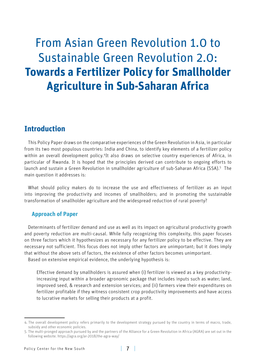# From Asian Green Revolution 1.0 to Sustainable Green Revolution 2.0: **Towards a Fertilizer Policy for Smallholder Agriculture in Sub-Saharan Africa**

# **Introduction**

This Policy Paper draws on the comparative experiences of the Green Revolution in Asia, in particular from its two most populous countries: India and China, to identify key elements of a fertilizer policy within an overall development policy.<sup>4</sup>It also draws on selective country experiences of Africa, in particular of Rwanda. It is hoped that the principles derived can contribute to ongoing efforts to launch and sustain a Green Revolution in smallholder agriculture of sub-Saharan Africa (SSA).<sup>5</sup> The main question it addresses is:

What should policy makers do to increase the use and effectiveness of fertilizer as an input into improving the productivity and incomes of smallholders; and in promoting the sustainable transformation of smallholder agriculture and the widespread reduction of rural poverty?

## **Approach of Paper**

Determinants of fertilizer demand and use as well as its impact on agricultural productivity growth and poverty reduction are multi-causal. While fully recognizing this complexity, this paper focuses on three factors which it hypothesizes as necessary for any fertilizer policy to be effective. They are necessary not sufficient. This focus does not imply other factors are unimportant; but it does imply that without the above sets of factors, the existence of other factors becomes unimportant.

Based on extensive empirical evidence, the underlying hypothesis is:

Effective demand by smallholders is assured when (i) fertilizer is viewed as a key productivityincreasing input within a broader agronomic package that includes inputs such as water; land, improved seed, & research and extension services; and (ii) farmers view their expenditures on fertilizer profitable if they witness consistent crop productivity improvements and have access to lucrative markets for selling their products at a profit.

<sup>4.</sup> The overall development policy refers primarily to the development strategy pursued by the country in terms of macro, trade, subsidy and other economic policies.

<sup>5.</sup> The multi-pronged approach pursued by and the partners of the Alliance for a Green Revolution in Africa (AGRA) are set out in the following website. https://agra.org/ar-2018/the-agra-way/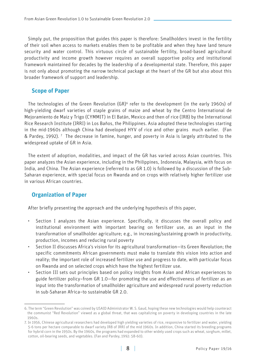Simply put, the proposition that guides this paper is therefore: Smallholders invest in the fertility of their soil when access to markets enables them to be profitable and when they have land tenure security and water control. This virtuous circle of sustainable fertility, broad-based agricultural productivity and income growth however requires an overall supportive policy and institutional framework maintained for decades by the leadership of a developmental state. Therefore, this paper is not only about promoting the narrow technical package at the heart of the GR but also about this broader framework of support and leadership.

## **Scope of Paper**

The technologies of the Green Revolution (GR)<sup>6</sup> refer to the development (in the early 1960s) of high-yielding dwarf varieties of staple grains of maize and wheat by the Centro International de Mejoramiento de Maiz y Trigo (CYMMIT) in El Batán, Mexico and then of rice (IR8) by the International Rice Research Institute (IRRI) in Los Baños, the Philippines. Asia adopted these technologies starting in the mid-1960s although China had developed HYV of rice and other grains much earlier. (Fan & Pardey, 1992). <sup>7</sup> The decrease in famine, hunger, and poverty in Asia is largely attributed to the widespread uptake of GR in Asia.

The extent of adoption, modalities, and impact of the GR has varied across Asian countries. This paper analyzes the Asian experience, including in the Philippines, Indonesia, Malaysia, with focus on India, and China. The Asian experience (referred to as GR 1.0) is followed by a discussion of the Sub-Saharan experience, with special focus on Rwanda and on crops with relatively higher fertilizer use in various African countries.

## **Organization of Paper**

After briefly presenting the approach and the underlying hypothesis of this paper,

- Section I analyzes the Asian experience. Specifically, it discusses the overall policy and institutional environment with important bearing on fertilizer use, as an input in the transformation of smallholder agriculture; e.g., in increasing/sustaining growth in productivity, production, incomes and reducing rural poverty
- Section II discusses Africa's vision for its agricultural transformation—its Green Revolution; the specific commitments African governments must make to translate this vision into action and reality; the important role of increased fertilizer use and progress to date, with particular focus on Rwanda and on selected crops which have the highest fertilizer use.
- Section III sets out principles based on policy insights from Asian and African experiences to guide fertilizer policy–from GR 1.0—for promoting the use and effectiveness of fertilizer as an input into the transformation of smallholder agriculture and widespread rural poverty reduction in sub-Saharan Africa–to sustainable GR 2.0.

<sup>6.</sup> The term "Green Revolution" was coined by USAID Administrator W. S. Gaud, hoping these new technologies would help counteract the communist "Red Revolution" viewed as a global threat, that was capitalizing on poverty in developing countries in the late 1960s.

<sup>7.</sup> In 1956, Chinese agricultural researchers had developed high yielding varieties of rice, responsive to fertilizer and water, yielding 5-6 tons per hectare comparable to dwarf variety IR8 of IRRI of the mid 1960s. In addition, China started its breeding programs for hybrid corn in the 1950s. By the 1960s, the programs had expanded to other widely used crops such as wheat, sorghum, millet, cotton, oil-bearing seeds, and vegetables. (Fan and Pardey, 1992: 58-60).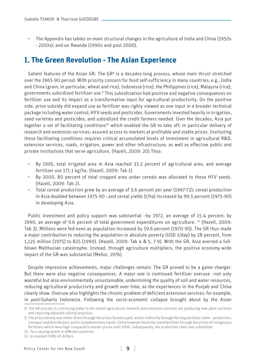• The Appendix has tables on main structural changes in the agriculture of India and China (1950s - 2010s); and on Rwanda (1990s and post 2000).

# **I. The Green Revolution - The Asian Experience**

Salient features of the Asian GR: The GR<sup>8</sup> is a decades-long process, whose main thrust stretched over the 1965-90 period. With priority concern for food self-sufficiency in many countries; e.g., India and China (grain, in particular, wheat and rice), Indonesia (rice), the Philippines (rice), Malaysia (rice), governments subsidized fertilizer use.9 This subsidization had positive and negative consequences on fertilizer use and its impact as a transformative input for agricultural productivity. On the positive side, price subsidy did expand use as fertilizer was righty viewed as one input in a broader technical package including water control, HYV seeds and pesticides. Governments invested heavily in irrigation, seed varieties and pesticides, and subsidized the credit farmers needed. Over the decades, Asia put together a set of facilitating conditions<sup>10</sup> which enabled the GR to take off; in particular delivery of research and extension services; assured access to markets at profitable and stable prices. Instituting these facilitating conditions requires critical accumulated levels of investment in agricultural R&D, extension services, roads, irrigation, power and other infrastructure, as well as effective public and private institutions that serve agriculture. (Hazell, 2009: 20) Thus:

- By 1995, total irrigated area in Asia reached 33.2 percent of agricultural area, and average fertilizer use 171.1 kg/ha. (Hazell, 2009: Tab 1)
- By 2000, 80 percent of total cropped area under cereals was allocated to these HYV seeds. (Hazell, 2009: Tab 2).
- Total cereal production grew by an average of 3.6 percent per year (1967-72); cereal production in Asia doubled between 1975-90 ; and cereal yields (t/ha) increased by 99.5 percent (1975-90) in developing Asia.

Public investment and policy support was substantial –by 1972, an average of 15.4 percent; by 1990, an average of 9.6 percent of total government expenditures on agriculture. 11 (Hazell, 2009: Tab 3). Millions were fed even as population increased by 59.6 percent (1970-95). The GR thus made a major contribution to reducing the population in absolute poverty (USD 1/day) by 28 percent, from 1,125 million (1975) to 825 (1990). (Hazell, 2009: Tab 4 & 5, 7-9). With the GR, Asia averted a fullblown Malthusian catastrophe. Instead, through agriculture multipliers, the positive economy-wide impact of the GR was substantial (Mellor, 1976).

Despite impressive achievements, major challenges remain: The GR proved to be a game changer. But there were also negative consequences. A major one is continued fertilizer overuse –not only wasteful but also environmentally unsustainable, undermining the quality of soil and water resources, reducing agricultural productivity and growth over time, as the experiences in the Punjab and China clearly show. Overuse also highlights the chronic problem of deficient extension services: for example, in post-Suharto Indonesia. Following the socio-economic collapse brought about by the Asian

<sup>8.</sup> The GR process is continuing today to the extent agricultural research and extension services are producing new plant varieties and requiring adjusted cultural practices.

<sup>9.</sup> The price subsidy was either direct through the prices farmers paid, and/or indirectly through the long fertilizer chain --production, transport and distribution, and in complementary inputs. China however implicitly taxed fertilizer through the prices of nitrogenous fertilizers which were high compared to border prices until 2006. Subsequently, the production chain was subsidized.

<sup>10.</sup> To a varying extent in different countries.

<sup>11.</sup> In constant 1985 US dollars.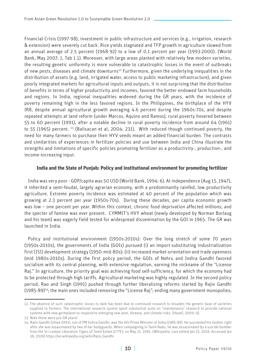Financial Crisis (1997-98), investment in public infrastructure and services (e.g., irrigation, research & extension) were severely cut back. Rice yields stagnated and TFP growth in agriculture slowed from an annual average of 2.5 percent (1968-92) to a low of 0.1 percent per year (1993-2000). (World Bank, May 2007: 1, Tab 1.1). Moreover, with large areas planted with relatively few modern varieties, the resulting genetic uniformity is more vulnerable to catastrophic losses in the event of outbreaks of new pests, diseases and climate downturns<sup>12</sup> Furthermore, given the underlying inequalities in the distribution of assets (e.g. land, irrigated water, access to public marketing infrastructure), and given poorly integrated markets for agricultural inputs and outputs, it is not surprising that the distribution of benefits in terms of higher productivity and incomes, favored the better endowed farm households and regions. In India, regional inequalities widened during the GR years, with the incidence of poverty remaining high in the less favored regions. In the Philippines, the birthplace of the HYV IR8, despite annual agricultural growth averaging 4.6 percent during the 1960s-70s, and despite repeated attempts at land reform (under Marcos, Aquino and Ramos), rural poverty hovered between 55 to 60 percent (1991), after a notable decline in rural poverty incidence from around 64 (1961) to 55 (1965) percent. 13 (Balisacan et al, 2004: 231). With reduced though continued poverty, the need for many farmers to purchase their HYV seeds meant an added financial burden. The contrasts and similarities of experiences in fertilizer policies and use between India and China illustrate the strengths and limitations of specific policies promoting fertilizer as a productivity-, production-, and income-increasing input.

## **India and the State of Punjab: Policy and institutional environment for promoting fertilizer**

India was very poor - GDP/capita was 50 USD (World Bank, 1994: 6). At independence (Aug 15, 1947), it inherited a semi-feudal, largely agrarian economy, with a predominantly rainfed, low productivity agriculture. Extreme poverty incidence was estimated at 40 percent of the population which was growing at 2.3 percent per year (1950s-70s). During these decades, per capita economic growth was low – one percent per year. Within this context, chronic food deprivation affected millions; and the specter of famine was ever present. CYMMIT's HVY wheat (newly developed by Norman Borlaug and his team) was eagerly field tested for widespread dissemination by the GOI in 1965. The GR was launched in India.

Policy and institutional environment (1950s-2010s): Over the long stretch of some 70 years (1950s-2010s), the governments of India (GOIs) pursued (i) an import-substituting industrialization first (ISI) development strategy (1950-mid-80s); (ii) increased market-orientation and trade openness (mid 1980s-2010s). During the first policy period, the GOIs of Nehru and Indira Gandhi favored socialism with its central planning, with extensive regulation, earning the nickname of the "License Raj." In agriculture, the priority goal was achieving food self-sufficiency, for which the economy had to be protected through high tariffs. Agricultural marketing was highly regulated. In the second policy period, Rao and Singh (1991) pushed through further liberalizing reforms started by Rajiv Gandhi (1985-89)14; the main ones included removing the "License Raj"; ending many government monopolies;

<sup>12.</sup> The absence of such catastrophic losses to date has been due to continued research to broaden the genetic base of varieties supplied to farmers. The international research system spent substantial sums on "maintenance" research to provide national systems with new germplasm to respond to emerging new pest, disease, and climate risks. (Hazell, 2009: 9).

<sup>13.</sup> Note these were pre-GR years!

<sup>14.</sup> Rajiv Gandhi (1944-1991), son of PM Indira Gandhi, was the 6th Prime Minister of India (1985-89). He succeeded his mother right after she was assassinated by two of her bodyguards. When campaigning in Tamil Nadu, he was assassinated by a suicide bomber from the Sri Lankan Liberation Tigers of Tamil Eelam (LTTE), on May 21, 1991. (Wikipedia. Last edited Jan 25, 2019. Accessed Jan 26, 2019) https://en.wikipedia.org/wiki/Rajiv\_Gandhi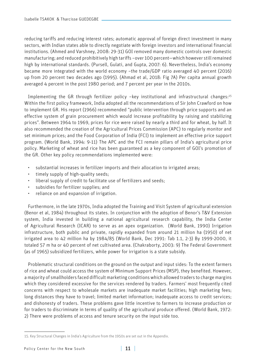reducing tariffs and reducing interest rates; automatic approval of foreign direct investment in many sectors, with Indian states able to directly negotiate with foreign investors and international financial institutions. (Ahmed and Varshney, 2008: 29-31) GOI removed many domestic controls over domestic manufacturing; and reduced prohibitively high tariffs –over 100 percent—which however still remained high by international standards. (Pursell, Gulati, and Gupta, 2007: 6). Nevertheless, India's economy became more integrated with the world economy –the trade/GDP ratio averaged 40 percent (2016) up from 20 percent two decades ago (1995). (Ahmad et al, 2018: Fig 7A) Per capita annual growth averaged 4 percent in the post 1980 period; and 7 percent per year in the 2010s.

Implementing the GR through fertilizer policy –key institutional and infrastructural changes:<sup>15</sup> Within the first policy framework, India adopted all the recommendations of Sir John Crawford on how to implement GR. His report (1966) recommended "public intervention through price supports and an effective system of grain procurement which would increase profitability by raising and stabilizing prices". Between 1964 to 1969, prices for rice were raised by nearly a third and for wheat, by half. It also recommended the creation of the Agricultural Prices Commission (APC) to regularly monitor and set minimum prices; and the Food Corporation of India (FCI) to implement an effective price support program. (World Bank, 1994: 9-11) The APC and the FCI remain pillars of India's agricultural price policy. Marketing of wheat and rice has been guaranteed as a key component of GOI's promotion of the GR. Other key policy recommendations implemented were:

- substantial increases in fertilizer imports and their allocation to irrigated areas;
- timely supply of high-quality seeds;
- liberal supply of credit to facilitate use of fertilizers and seeds;
- subsidies for fertilizer supplies; and
- reliance on and expansion of irrigation.

Furthermore, in the late 1970s, India adopted the Training and Visit System of agricultural extension (Benor et al, 1984) throughout its states. In conjunction with the adoption of Benor's T&V Extension system, India invested in building a national agricultural research capability, the India Center of Agricultural Research (ICAR) to serve as an apex organization. (World Bank, 1990) Irrigation infrastructure, both public and private, rapidly expanded from around 21 million ha (1950) of net irrigated area to 42 million ha by 1984/85 (World Bank, Dec 1991: Tab 1.1, 2-3) By 1999-2000, it totaled 57 m ha or 40 percent of net cultivated area. (Chakraborty, 2003: 9) The Federal Government (as of 1965) subsidized fertilizers, while power for irrigation is a state subsidy.

Problematic structural conditions on the ground on the output and input sides: To the extent farmers of rice and wheat could access the system of Minimum Support Prices (MSP), they benefited. However, a majority of smallholders faced difficult marketing conditions which allowed traders to charge margins which they considered excessive for the services rendered by traders. Farmers' most frequently cited concerns with respect to wholesale markets are inadequate market facilities; high marketing fees; long distances they have to travel; limited market information; inadequate access to credit services; and dishonesty of traders. These problems gave little incentive to farmers to increase production or for traders to discriminate in terms of quality of the agricultural produce offered. (World Bank, 1972: 2) There were problems of access and tenure security on the input side too.

<sup>15.</sup> Key Structural Changes in India's Agriculture from the 1950s are set out in the Appendix.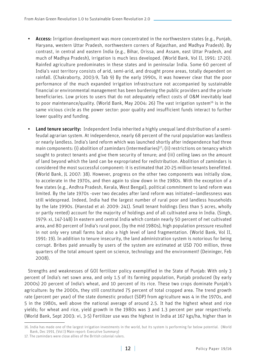- Access: Irrigation development was more concentrated in the northwestern states (e.g., Punjab, Haryana, western Uttar Pradesh, northwestern corners of Rajasthan, and Madhya Pradesh). By contrast, in central and eastern India (e.g., Bihar, Orissa, and Assam, east Uttar Pradesh, and much of Madhya Pradesh), irrigation is much less developed. (World Bank, Vol II, 1991: 17-20). Rainfed agriculture predominates in these states and in peninsular India. Some 60 percent of India's vast territory consists of arid, semi-arid, and drought prone areas, totally dependent on rainfall. (Chakraborty, 2003:9, Tab 9) By the early 1990s, it was however clear that the poor performance of the much expanded irrigation infrastructure not accompanied by sustainable financial or environmental management has been burdening the public providers and the private beneficiaries. Low prices to users that do not adequately reflect costs of O&M inevitably lead to poor maintenance/quality. (World Bank, May 2004: 26) The vast irrigation system<sup>16</sup> is in the same vicious circle as the power sector: poor quality and insufficient funds interact to further lower quality and funding.
- Land tenure security: Independent India inherited a highly unequal land distribution of a semifeudal agrarian system. At independence, nearly 68 percent of the rural population was landless or nearly landless. India's land reform which was launched shortly after independence had three main components: (i) abolition of zamindars (intermediaries)<sup>17</sup>; (ii) restrictions on tenancy which sought to protect tenants and give them security of tenure; and (iii) ceiling laws on the amount of land beyond which the land can be expropriated for redistribution. Abolition of zamindars is considered the most successful component: it is estimated that 20-25 million tenants benefitted. (World Bank, JL 2007: 38). However, progress on the other two components was initially slow, to accelerate in the 1970s, and then again to slow down in the 1980s. With the exception of a few states (e.g., Andhra Pradesh, Kerala, West Bengal), political commitment to land reform was limited. By the late 1970s -over two decades after land reform was initiated—landlessness was still widespread. Indeed, India had the largest number of rural poor and landless households by the late 1990s. (Hanstad et al: 2009: 241). Small tenant holdings (less than 5 acres, wholly or partly rented) account for the majority of holdings and of all cultivated area in India. (Singh, 1979: xi, 147-148) In eastern and central India which contain nearly 50 percent of net cultivated area, and 80 percent of India's rural poor, (by the mid 1980s), high population pressure resulted in not only very small farms but also a high level of land fragmentation. (World Bank, Vol II, 1991: 19). In addition to tenure insecurity, the land administration system is notorious for being corrupt. Bribes paid annually by users of the system are estimated at USD 700 million, three quarters of the total amount spent on science, technology and the environment! (Deininger, Feb 2008).

Strengths and weaknesses of GOI fertilizer policy exemplified in the State of Punjab: With only 3 percent of India's net sown area, and only 1.5 of its farming population, Punjab produced (by early 2000s) 20 percent of India's wheat, and 10 percent of its rice. These two crops dominate Punjab's agriculture: by the 2000s, they still constituted 75 percent of total cropped area. The trend growth rate (percent per year) of the state domestic product (SDP) from agriculture was 4 in the 1970s, and 5 in the 1980s, well above the national average of around 2.5. It had the highest wheat and rice yields; for wheat and rice, yield growth in the 1980s was 3 and 1.3 percent per year respectively. (World Bank, Sept 2003: vi, 3-5) Fertilizer use was the highest in India at 167 kgs/ha, higher than in

<sup>16.</sup> India has made one of the largest irrigation investments in the world, but its system is performing far below potential. (World Bank, Dec 1991, (Vol I) Main report: Executive Summary)

<sup>17.</sup> The zamindars were close allies of the British colonial rulers.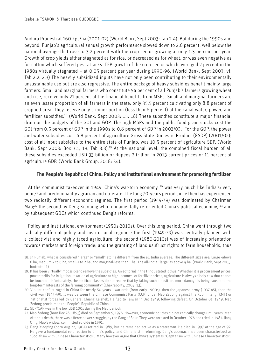Andhra Pradesh at 160 Kgs/ha (2001-02) (World Bank, Sept 2003: Tab 2.4). But during the 1990s and beyond, Punjab's agricultural annual growth performance slowed down to 2.6 percent, well below the national average that rose to 3.2 percent with the crop sector growing at only 1.3 percent per year. Growth of crop yields either stagnated as for rice, or decreased as for wheat, or was even negative as for cotton which suffered pest attacks. TFP growth of the crop sector which averaged 2 percent in the 1980s virtually stagnated – at 0.05 percent per year during 1990-96. (World Bank, Sept 2003: vi, Tab 2.2, 2.3) The heavily subsidized inputs have not only been contributing to their environmentally unsustainable use but are also regressive. The entire package of heavy subsidies benefit mainly large farmers. Small and marginal farmers who constitute 54 per cent of all Punjab's farmers growing wheat and rice, receive only 21 percent of the financial benefits from MSPs. Small and marginal farmers are an even lesser proportion of all farmers in the state: only 35.5 percent cultivating only 8.8 percent of cropped area. They receive only a minor portion (less than 8 percent) of the canal water, power, and fertilizer subsidies.18 (World Bank, Sept 2003: 15, 18) These subsidies constitute a major financial drain on the budgets of the GOI and GOP. The high MSPs and the public food grain stocks cost the GOI from 0.5 percent of GDP in the 1990s to 0.8 percent of GDP in 2002/03. For the GOP, the power and water subsidies cost 6.8 percent of agriculture Gross State Domestic Product (GSDP) (2001/02); cost of all input subsidies to the entire state of Punjab, was 10.5 percent of agriculture SDP. (World Bank, Sept 2003: Box 3.1, 19, Tab 3.3).<sup>19</sup> At the national level, the combined fiscal burden of all these subsidies exceeded USD 33 billion or Rupees 2 trillion in 2013 current prices or 11 percent of agriculture GDP. (World Bank Group, 2018: 34).

### **The People's Republic of China: Policy and institutional environment for promoting fertilizer**

At the communist takeover in 1949, China's war-torn economy <sup>20</sup> was very much like India's: very poor,21 and predominantly agrarian and illiterate. The long 70-years period since then has experienced two radically different economic regimes. The first period (1949-79) was dominated by Chairman Mao;<sup>22</sup> the second by Deng Xiaoping who fundamentally re-oriented China's political economy, <sup>23</sup> and by subsequent GOCs which continued Deng's reforms.

Policy and institutional environment (1950s-2010s): Over this long period, China went through two radically different policy and institutional regimes: the first (1949-79) was centrally planned with a collectivist and highly taxed agriculture; the second (1980-2010s) was of increasing orientation towards markets and foreign trade; and the granting of land usufruct rights to farm households, thus

<sup>18.</sup> In Punjab, what is considered "large" or "small" etc. is different from the all India average. The different sizes are: Large -above 6 ha; medium-2 to 6 ha; small-1 to 2 ha; and marginal-less than 1 ha. The all-India "large" is above 4 ha. (World Bank, Sept 2003: footnote 11)

<sup>19.</sup> It has been virtually impossible to remove the subsidies. An editorial in the Hindu stated it thus: "Whether it is procurement prices, power tariffs for irrigation, taxation of agriculture at high incomes, or fertilizer prices, agriculture is always a holy cow that cannot be touched. Unfortunately, the political classes do not realize that by taking such a position, more damage is being caused to the long-term interests of the farming community" (Chakraborty, 2003: 13).

<sup>20.</sup> Violent conflict raged in China for nearly 50 years - warlords (from early 1900s), then the Japanese army (1937-45), then the civil war (1945-49). It was between the Chinese Communist Party (CCP) under Mao Zedong against the Kuomintang (KMT) or nationalist forces led by General Chiang Kaishek. He fled to Taiwan in Dec 1949, following defeat. On October 01, 1949, Mao Zedong proclaimed the People's Republic of China.

<sup>21.</sup> GDP/CAP was in the low USD 100s during the Mao period;

<sup>22.</sup> Mao Zedong (born Dec 26, 1893) died on September 9, 1976. However, economic policies did not radically change until years later. After his death, there was a fierce power struggle, by the Gang of Four. They were arrested in October 1976 and tried in 1981. Jiang Qing, Mao's widow, committed suicide in 1991.

<sup>23.</sup> Deng Xiaoping (born Aug 22, 1904) retired in 1989, but he remained active as a statesman. He died in 1997 at the age of 92. He gave a fundamental re-direction to China's policy, and China is still reforming. Deng's approach has been characterized as "Socialism with Chinese Characteristics". Many however argue that China's system is "Capitalism with Chinese Characteristics"!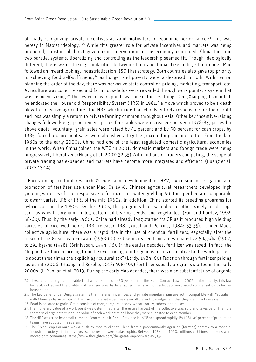officially recognizing private incentives as valid motivators of economic performance.<sup>24</sup> This was heresy in Maoist ideology. <sup>25</sup> While this greater role for private incentives and markets was being promoted, substantial direct government intervention in the economy continued. China thus ran two parallel systems: liberalizing and controlling as the leadership seemed fit. Though ideologically different, there were striking similarities between China and India. Like India, China under Mao followed an inward looking, industrialization (ISI) first strategy. Both countries also gave top priority to achieving food self-sufficiency<sup>26</sup> as hunger and poverty were widespread in both. With central planning the order of the day, there was pervasive state control on pricing, marketing, transport, etc. Agriculture was collectivized and farm households were rewarded through work points; a system that was disincentivizing.27 The system of work points was one of the first things Deng Xiaoping dismantled: he endorsed the Household Responsibility System (HRS) in 1981,<sup>28</sup> amove which proved to be a death blow to collective agriculture. The HRS which made households entirely responsible for their profit and loss was simply a return to private farming common throughout Asia. Other key incentive-raising changes followed: e.g., procurement prices for staples were increased; between 1978-83, prices for above quota (voluntary) grain sales were raised by 41 percent and by 50 percent for cash crops; by 1985, forced procurement sales were abolished altogether, except for grain and cotton. From the late 1980s to the early 2000s, China had one of the least regulated domestic agricultural economies in the world. When China joined the WTO in 2001, domestic markets and foreign trade were being progressively liberalized. (Huang et al, 2007: 32-35) With millions of traders competing, the scope of private trading has expanded and markets have become more integrated and efficient. (Huang et al, 2007: 13-14)

Focus on agricultural research & extension, development of HYV, expansion of irrigation and promotion of fertilizer use under Mao: In 1956, Chinese agricultural researchers developed high yielding varieties of rice, responsive to fertilizer and water, yielding 5-6 tons per hectare comparable to dwarf variety IR8 of IRRI of the mid 1960s. In addition, China started its breeding programs for hybrid corn in the 1950s. By the 1960s, the programs had expanded to other widely used crops such as wheat, sorghum, millet, cotton, oil-bearing seeds, and vegetables. (Fan and Pardey, 1992: 58-60). Thus, by the early 1960s, China had already long started its GR as it produced high yielding varieties of rice well before IRRI released IR8. (Yusuf and Perkins, 1984: 53-55). Under Mao's collective agriculture, there was a rapid rise in the use of chemical fertilizers, especially after the fiasco of the Great Leap Forward (1958-60). 29 Use increased from an estimated 22.5 kgs/ha (1962) to 291 kgs/ha (1978). (Srinivasan, 1994: 36). In the earlier decades, fertilizer was taxed. In fact, the "Implicit tax burden arising from the overpricing of nitrogenous fertilizer relative to the world price … is about three times the explicit agricultural tax" (Lardy, 1984: 60) Taxation through fertilizer pricing lasted into 2006. (Huang and Rozelle, 2018: 498-499) Fertilizer subsidy programs started in the early 2000s. (Li Yuxuan et al, 2013) During the early Mao decades, there was also substantial use of organic

<sup>24.</sup> These usufruct rights for arable land were extended to 30 years under the Rural Contact Law of 2002. Unfortunately, this law has still not solved the problem of land seizures by local governments without adequate negotiated compensation to farmer households.

<sup>25.</sup> The key belief under Deng's system is that material incentives and private monetary gain are not incompatible with "socialism with Chinese characteristics". The use of material incentives is an official acknowledgement that they are in fact necessary.

<sup>26.</sup> Food is equated to grain. Grain consists of corn, sorghum, paddy, wheat, barley, tubers, and pulses.

<sup>27.</sup> The monetary value of a work point was determined after the entire harvest of the collective was sold and taxes paid. Then the cadres in charge determined the value of each work point and how they were allocated to each member. .

<sup>28.</sup> The HRS was tried by a small number of communes in Anhui Province in 1978 and spread rapidly. By 1981, 45 percent of production teams have adopted this system.

<sup>29.</sup> The Great Leap Forward was a push by Mao to change China from a predominantly agrarian (farming) society to a modern, industrial society—in just five years. The results were catastrophic. Between 1958 and 1960, millions of Chinese citizens were moved onto communes. https://www.thoughtco.com/the-great-leap-forward-195154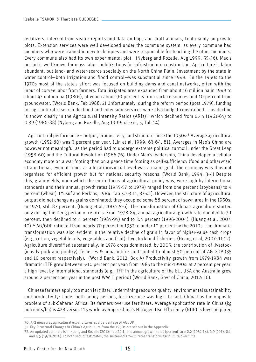fertilizers, inferred from visitor reports and data on hogs and draft animals, kept mainly on private plots. Extension services were well developed under the commune system, as every commune had members who were trained in new techniques and were responsible for teaching the other members. Every commune also had its own experimental plot. (Nyberg and Rozelle, Aug 1999: 55-56). Mao's period is well known for mass labor mobilizations for infrastructure construction. Agriculture is labor abundant, but land- and water-scarce specially on the North China Plain. Investment by the state in water control—both irrigation and flood control—was substantial since 1949. In the 1950s to the 1970s most of the state's effort was focused on building dams and canal networks, often with the input of corvée labor from farmers. Total irrigated area expanded from about 16 million ha in 1949 to about 47 million ha (1980s), of which about 90 percent is from surface sources and 10 percent from groundwater. (World Bank, Feb 1988: 2) Unfortunately, during the reform period (post 1979), funding for agricultural research declined and extension services were also budget-constrained. This decline is shown clearly in the Agricultural Intensity Ratios (ARIs)<sup>30</sup> which declined from 0.45 (1961-65) to 0.39 (1986-88) (Nyberg and Rozelle, Aug 1999: xii-xiii, 5, Tab 14)

Agricultural performance – output, productivity, and structure since the 1950s:<sup>31</sup>Average agricultural growth (1952-80) was 3 percent per year. (Lin et al, 1999: 63-64, 81). Averages in Mao's China are however not meaningful as the period had to undergo extreme political turmoil under the Great Leap (1958-60) and the Cultural Revolution (1966-76). Under Mao's leadership, China developed a cellular economy more on a war footing than on a peace time footing as self-sufficiency (food and otherwise) at a national, even at times at a local/provincial level was a major goal. The economy was thus not organized for efficient growth but for national security reasons. (World Bank, 1994: 3-4) Despite this, grain yields, upon which the entire focus of agricultural policy was, were high by international standards and their annual growth rates (1955-57 to 1979) ranged from one percent (soybeans) to 4 percent (wheat). (Yusuf and Perkins, 1984: Tab 3.7-3.11, 37-41). However, the structure of agricultural output did not change as grains dominated: they occupied some 88 percent of sown area in the 1950s; in 1970, still 83 percent. (Huang et al, 2007: 5-6). The transformation of China's agriculture started only during the Deng period of reforms. From 1978-84, annual agricultural growth rate doubled to 7.1 percent, then declined to 4 percent (1985-95) and to 3.4 percent (1996-2004). (Huang et al, 2007: 10).32 AG/GDP ratio fell from nearly 70 percent in 1952 to under 10 percent by the 2010s. The dramatic transformation was also evident in the relative decline of grain in favor of higher-value cash crops (e.g., cotton, vegetable oils, vegetables and fruit); livestock and fisheries. (Huang et al, 2007: 11-12). Agriculture diversified substantially: in 1978 crops dominated; by 2005, the contribution of livestock (mostly pork and poultry), fisheries & aquaculture contributed to almost 50 percent of AG GDP (35 and 10 percent respectively). (World Bank, 2012: Box A) Productivity growth from 1979-1984 was dramatic: TFP grew between 5-10 percent per year; from 1985 to the mid-1990s: at 2 percent per year, a high level by international standards (e.g., TFP in the agriculture of the EU, USA and Australia grew around 2 percent per year in the post WW II period) (World Bank, Govt of China, 2012: 16).

Chinese farmers apply too much fertilizer, undermining resource quality, environmental sustainability and productivity: Under both policy periods, fertilizer use was high. In fact, China has the opposite problem of sub-Saharan Africa: Its farmers overuse fertilizers. Average application rate in China (kg nutrients/ha) is 428 versus 115 world average. China's Nitrogen Use Efficiency (NUE) is low compared

<sup>30.</sup> ARI measures agricultural expenditures as a percentage of AGGDP.

<sup>31.</sup> Key Structural Changes in China's Agriculture from the 1950s are set out in the Appendix

<sup>32.</sup> An updated estimate is in Huang and Rozelle (2018: Tab 24.1), the annual growth rates (percent) are: 2.2 (1952-78), 6.9 (1978-84) and 4.5 (1978-2016). In both sets of estimates, the sustained growth rates transform agriculture over time.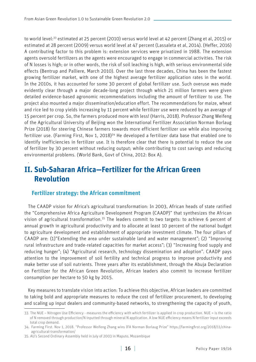to world level:33 estimated at 25 percent (2010) versus world level at 42 percent (Zhang et al, 2015) or estimated at 28 percent (2009) versus world level at 47 percent (Lassaleta et al, 2014). (Heffer, 2016) A contributing factor to this problem is: extension services were privatized in 1988. The extension agents oversold fertilizers as the agents were encouraged to engage in commercial activities. The risk of N losses is high; or in other words, the risk of soil leaching is high, with serious environmental side effects (Bentrup and Palliere, March 2010). Over the last three decades, China has been the fastest growing fertilizer market, with one of the highest average fertilizer application rates in the world. In the 2010s, it has accounted for some 30 percent of global fertilizer use. Such overuse was made evidently clear through a major decade-long project through which 21 million farmers were given detailed evidence-based agronomic recommendations including the amount of fertilizer to use. The project also mounted a major dissemination/education effort. The recommendations for maize, wheat and rice led to crop yields increasing by 11 percent while fertilizer use were reduced by an average of 15 percent per crop. So, the farmers produced more with less! (Harris, 2018). Professor Zhang Weifeng of the Agricultural University of Beijing won the International Fertilizer Association Norman Borlaug Prize (2018) for steering Chinese farmers towards more efficient fertilizer use while also improving fertilizer use. (Farming First, Nov 1, 2018)<sup>34</sup> He developed a fertilizer data base that enabled one to identify inefficiencies in fertilizer use. It is therefore clear that there is potential to reduce the use of fertilizer by 30 percent without reducing output; while contributing to cost savings and reducing environmental problems. (World Bank, Govt of China, 2012: Box A).

# **II. Sub-Saharan Africa—Fertilizer for the African Green Revolution**

# **Fertilizer strategy: the African commitment**

.

The CAADP vision for Africa's agricultural transformation: In 2003, African heads of state ratified the "Comprehensive Africa Agriculture Development Program (CAADP)" that synthesizes the African vision of agricultural transformation.35 The leaders commit to two targets: to achieve 6 percent of annual growth in agricultural productivity and to allocate at least 10 percent of the national budget to agriculture development and establishment of appropriate investment climate. The four pillars of CAADP are: (1)"Extending the area under sustainable land and water management"; (2) "Improving rural infrastructure and trade-related capacities for market access"; (3) "Increasing food supply and reducing hunger"; (4) "Agricultural research, technology dissemination and adoption". CAADP pays attention to the improvement of soil fertility and technical progress to improve productivity and make better use of soil nutrients. Three years after its establishment, through the Abuja Declaration on Fertilizer for the African Green Revolution, African leaders also commit to increase fertilizer consumption per hectare to 50 kg by 2015.

Key measures to translate vision into action: To achieve this objective, African leaders are committed to taking bold and appropriate measures to reduce the cost of fertilizer procurement, to developing and scaling up input dealers and community-based networks, to strengthening the capacity of youth,

<sup>33.</sup> The NUE – Nitrogen Use Efficiency - measures the efficiency with which fertilizer is applied in crop production. NUE = is the ratio of N removed through production/N inputted through mineral N application. A low NUE efficiency means N fertilizer input exceeds total crop demand.

<sup>34.</sup> Farming First. Nov 1, 2018. "Professor Weifeng Zhang wins IFA Norman Borlaug Prize" https://farmingfirst.org/2018/11/chinaagricultural-transformation/

<sup>35.</sup> AU's Second Ordinary Assembly held in July of 2003 in Maputo, Mozambique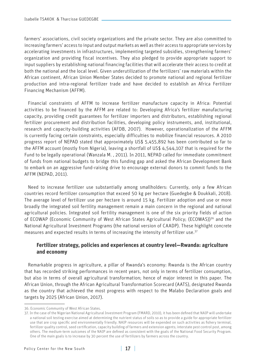farmers' associations, civil society organizations and the private sector. They are also committed to increasing farmers' access to input and output markets as well as their access to appropriate services by accelerating investments in infrastructures, implementing targeted subsidies, strengthening farmers' organization and providing fiscal incentives. They also pledged to provide appropriate support to input suppliers by establishing national financing facilities that will accelerate their access to credit at both the national and the local level. Given underutilization of the fertilizers' raw materials within the African continent, African Union Member States decided to promote national and regional fertilizer production and intra-regional fertilizer trade and have decided to establish an Africa Fertilizer Financing Mechanism (AFFM).

Financial constraints of AFFM to increase fertilizer manufacture capacity in Africa: Potential activities to be financed by the AFFM are related to: Developing Africa's fertilizer manufacturing capacity, providing credit guarantees for fertilizer importers and distributors, establishing regional fertilizer procurement and distribution facilities, developing policy instruments, and, institutional, research and capacity-building activities (AFDB, 2007). However, operationalization of the AFFM is currently facing certain constraints, especially difficulties to mobilize financial resources. A 2010 progress report of NEPAD stated that approximately US\$ 5,455,892 has been contributed so far to the AFFM account (mostly from Nigeria), leaving a shortfall of US\$ 4,544,107 that is required for the Fund to be legally operational (Wanzala M. , 2011). In 2011, NEPAD called for immediate commitment of funds from national budgets to bridge this funding gap and asked the African Development Bank to embark on an aggressive fund-raising drive to encourage external donors to commit funds to the AFFM (NEPAD, 2011).

Need to increase fertilizer use substantially among smallholders: Currently, only a few African countries record fertilizer consumption that exceed 50 kg per hectare (Guedegbe & Doukkali, 2018). The average level of fertilizer use per hectare is around 15 kg. Fertilizer adoption and use or more broadly the integrated soil fertility management remain a main concern in the regional and national agricultural policies. Integrated soil fertility management is one of the six priority fields of action of ECOWAP (Economic Community of West African States Agricultural Policy; (ECOWAS))<sup>36</sup> and the National Agricultural Investment Programs (the national version of CAADP). These highlight concrete measures and expected results in terms of increasing the intensity of fertilizer use.37

## **Fertilizer strategy, policies and experiences at country level—Rwanda: agriculture and economy**

Remarkable progress in agriculture, a pillar of Rwanda's economy: Rwanda is the African country that has recorded striking performances in recent years, not only in terms of fertilizer consumption, but also in terms of overall agricultural transformation; hence of major interest in this paper. The African Union, through the African Agricultural Transformation Scorecard (AATS), designated Rwanda as the country that achieved the most progress with respect to the Malabo Declaration goals and targets by 2025 (African Union, 2017).

<sup>36.</sup> Economic Community of West African States.

<sup>37.</sup> In the case of the Nigerian National Agricultural Investment Program (FMARD, 2010), it has been defined that NAIP will undertake a national soil testing exercise aimed at determining the nutrient status of soils so as to provide a guide for appropriate fertilizer use that are crop specific and environmentally friendly. NAIP resources will be expended on such activities as fishery terminal, fertilizer quality control, seed certification, capacity building of farmers and extension agents; interstate pest control post, among others. The medium-term outcomes of the NAIP are defined as consistent with the goals of the National Food Security Program. One of the main goals is to increase by 30 percent the use of fertilizers by farmers across the country.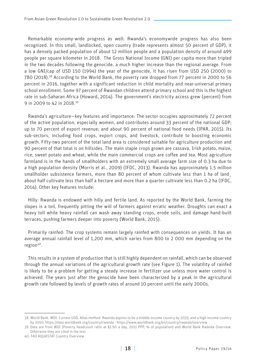Remarkable economy-wide progress as well: Rwanda's economywide progress has also been recognized. In this small, landlocked, open country (trade represents almost 50 percent of GDP), it has a densely packed population of about 12 million people and a population density of around 499 people per square kilometer in 2018. The Gross National Income (GNI) per capita more than tripled in the two decades following the genocide, a much higher increase than the regional average. From a low GNI/cap of USD 150 (1994) the year of the genocide, it has risen from USD 250 (2000) to 780 (2018).38 According to the World Bank, the poverty rate dropped from 77 percent in 2000 to 56 percent in 2016, together with a significant reduction in child mortality and near-universal primary school enrollment. Some 97 percent of Rwandan children attend primary school and this is the highest rate in sub-Saharan Africa (Howard, 2014). The government's electricity access grew (percent) from 9 in 2009 to 42 in 2018.<sup>39</sup>

Rwanda's agriculture—key features and importance: The sector occupies approximately 72 percent of the active population, especially women, and contributes around 33 percent of the national GDP; up to 70 percent of export revenue; and about 90 percent of national food needs (IPAR, 2015). Its sub-sectors, including food crops, export crops, and livestock, contribute to boosting economic growth. Fifty-two percent of the total land area is considered suitable for agriculture production and 90 percent of that total is on hillsides. The main staple crops grown are cassava, Irish potato, maize, rice, sweet potato and wheat, while the main commercial crops are coffee and tea. Most agriculture farmland is in the hands of smallholders with an extremely small average farm size of 0.3 ha due to a high population density (Morris et al., 2009) (IFDC, 2013). Rwanda has approximately 1.5 million smallholder subsistence farmers, more than 80 percent of whom cultivate less than 1 ha of land, about half cultivate less than half a hectare and more than a quarter cultivate less than 0.2 ha (IFDC, 2014). Other key features include:

Hilly: Rwanda is endowed with hilly and fertile land, As reported by the World Bank, farming the slopes is a toil, frequently pitting the will of farmers against erratic weather. Droughts can exact a heavy toll while heavy rainfall can wash away standing crops, erode soils, and damage hand-built terraces, pushing farmers deeper into poverty (World Bank, 2015).

Primarily rainfed: The crop systems remain largely rainfed with consequences on yields. It has an average annual rainfall level of 1,200 mm, which varies from 800 to 2 000 mm depending on the region<sup>40</sup>.

This results in a system of production that is still highly dependent on rainfall, which can be observed through the annual variations of the agricultural growth rate (see Figure 1). The volatility of rainfed is likely to be a problem for getting a steady increase in fertilizer use unless more water control is achieved. The years just after the genocide have been characterized by a peak in the agricultural growth rate followed by levels of growth rates of around 10 percent until the early 2000s.

<sup>38.</sup> World Bank. WDI. Current USD, Atlas method. Rwanda aspires to be a middle-income country by 2035; and a high income country by 2050. https://data.worldbank.org/country/rwanda - https://www.worldbank.org/en/country/rwanda/overview

<sup>39.</sup> Data are from WDI (Poverty headcount ratio at \$1.90 a day, 2011 PPP, % of population) and World Bank Rwanda Overview. Otherwise they are cited in the text

<sup>40.</sup> FAO AQUASTAT Country Overview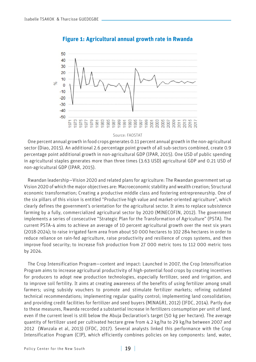

### **Figure 1: Agricultural annual growth rate in Rwanda**

#### Source: FAOSTAT

One percent annual growth in food crops generates 0.11 percent annual growth in the non-agricultural sector (Diao, 2015). An additional 2.6 percentage point growth of all sub-sectors combined, create 0.9 percentage point additional growth in non-agricultural GDP (IPAR, 2015). One USD of public spending in agricultural staples generates more than three times (3.63 USD) agricultural GDP and 0.21 USD of non-agricultural GDP (IPAR, 2015).

Rwandan leadership—Vision 2020 and related plans for agriculture: The Rwandan government set up Vision 2020 of which the major objectives are: Macroeconomic stability and wealth creation; Structural economic transformation; Creating a productive middle class and fostering entrepreneurship. One of the six pillars of this vision is entitled "Productive high value and market-oriented agriculture", which clearly defines the government's orientation for the agricultural sector. It aims to replace subsistence farming by a fully, commercialized agricultural sector by 2020 (MINECOFIN, 2012). The government implements a series of consecutive "Strategic Plan for the Transformation of Agriculture" (PSTA). The current PSTA-4 aims to achieve an average of 10 percent agricultural growth over the next six years (2018-2024); to raise irrigated farm area from about 50 000 hectares to 102 284 hectares in order to reduce reliance on rain-fed agriculture, raise productivity and resilience of crops systems, and then improve food security; to increase fish production from 27 000 metric tons to 112 000 metric tons by 2024.

The Crop Intensification Program—content and impact: Launched in 2007, the Crop Intensification Program aims to increase agricultural productivity of high-potential food crops by creating incentives for producers to adopt new production technologies, especially fertilizer, seed and irrigation, and to improve soil fertility. It aims at creating awareness of the benefits of using fertilizer among small farmers; using subsidy vouchers to promote and stimulate fertilizer markets; refining outdated technical recommendations; implementing regular quality control; implementing land consolidation; and providing credit facilities for fertilizer and seed buyers (MINAGRI, 2012) (IFDC, 2014). Partly due to these measures, Rwanda recorded a substantial increase in fertilizers consumption per unit of land, even if the current level is still below the Abuja Declaration's target (50 kg per hectare). The average quantity of fertilizer used per cultivated hectare grew from 4.2 kg/ha to 29 kg/ha between 2007 and 2012 (Wanzala et al, 2013) (IFDC, 2017). Several analysts linked this performance with the Crop Intensification Program (CIP), which efficiently combines policies on key components: land, water,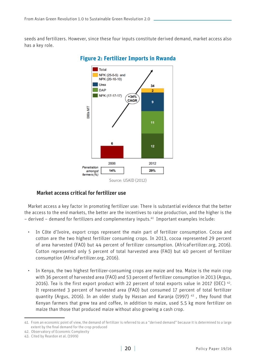seeds and fertilizers. However, since these four inputs constitute derived demand, market access also has a key role.



**Figure 2: Fertilizer Imports in Rwanda** 

## **Market access critical for fertilizer use**

Market access a key factor in promoting fertilizer use: There is substantial evidence that the better the access to the end markets, the better are the incentives to raise production, and the higher is the  $-$  derived – demand for fertilizers and complementary inputs.<sup>41</sup> Important examples include:

- In Côte d'Ivoire, export crops represent the main part of fertilizer consumption. Cocoa and cotton are the two highest fertilizer consuming crops. In 2013, cocoa represented 29 percent of area harvested (FAO) but 44 percent of fertilizer consumption. (AfricaFertilizer.org, 2016). Cotton represented only 5 percent of total harvested area (FAO) but 40 percent of fertilizer consumption (AfricaFertilizer.org, 2016).
- In Kenya, the two highest fertilizer-consuming crops are maize and tea. Maize is the main crop with 36 percent of harvested area (FAO) and 53 percent of fertilizer consumption in 2013 (Argus, 2016). Tea is the first export product with 22 percent of total exports value in 2017 (OEC)  $42$ . It represented 3 percent of harvested area (FAO) but consumed 17 percent of total fertilizer quantity (Argus, 2016). In an older study by Hassan and Karanja (1997)<sup>43</sup>, they found that Kenyan farmers that grew tea and coffee, in addition to maize, used 5.5 kg more fertilizer on maize than those that produced maize without also growing a cash crop.

<sup>41.</sup> From an economic point of view, the demand of fertilizer is referred to as a "derived demand" because it is determined to a large extent by the final demand for the crop produced

<sup>42.</sup> Observatory of Economic Complexity

<sup>43.</sup> Cited by Reardon et al. (1999)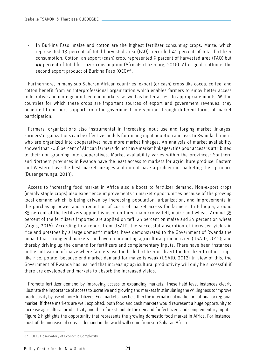• In Burkina Faso, maize and cotton are the highest fertilizer consuming crops. Maize, which represented 13 percent of total harvested area (FAO), recorded 41 percent of total fertilizer consumption. Cotton, an export (cash) crop, represented 9 percent of harvested area (FAO) but 44 percent of total fertilizer consumption (AfricaFertilizer.org, 2016). After gold, cotton is the second export product of Burkina Faso (OEC)<sup>44</sup>.

Furthermore, in many sub-Saharan African countries, export (or cash) crops like cocoa, coffee, and cotton benefit from an interprofessional organization which enables farmers to enjoy better access to lucrative and more guaranteed end markets, as well as better access to appropriate inputs. Within countries for which these crops are important sources of export and government revenues, they benefited from more support from the government intervention through different forms of market participation.

Farmers' organizations also instrumental in increasing input use and forging market linkages: Farmers' organizations can be effective models for raising input adoption and use. In Rwanda, farmers who are organized into cooperatives have more market linkages. An analysis of market availability showed that 30.8 percent of African farmers do not have market linkages; this poor access is attributed to their non-grouping into cooperatives. Market availability varies within the provinces: Southern and Northern provinces in Rwanda have the least access to markets for agriculture produce. Eastern and Western have the best market linkages and do not have a problem in marketing their produce (Dusengemungu, 2013).

Access to increasing food market in Africa also a boost to fertilizer demand: Non-export crops (mainly staple crops) also experience improvements in market opportunities because of the growing local demand which is being driven by increasing population, urbanization, and improvements in the purchasing power and a reduction of costs of market access for farmers. In Ethiopia, around 85 percent of the fertilizers applied is used on three main crops: teff, maize and wheat. Around 35 percent of the fertilizers imported are applied on teff, 25 percent on maize and 25 percent on wheat (Argus, 2016). According to a report from USAID, the successful absorption of increased yields in rice and potatoes by a large domestic market, have demonstrated to the Government of Rwanda the impact that strong end markets can have on promoting agricultural productivity. (USAID, 2012); and thereby driving up the demand for fertilizers and complementary inputs. There have been instances in the cultivation of maize where farmers use too little fertilizer or divert the fertilizer to other crops like rice, potato, because end market demand for maize is weak (USAID, 2012) In view of this, the Government of Rwanda has learned that increasing agricultural productivity will only be successful if there are developed end markets to absorb the increased yields.

Promote fertilizer demand by improving access to expanding markets: These field level instances clearly illustrate the importance of access to lucrative and growing end markets in stimulating the willingness to improve productivity by use of more fertilizers. End markets may be either the international market or national or regional market. If these markets are well exploited, both food and cash markets would represent a huge opportunity to increase agricultural productivity and therefore stimulate the demand for fertilizers and complementary inputs. Figure 2 highlights the opportunity that represents the growing domestic food market in Africa. For instance, most of the increase of cereals demand in the world will come from sub-Saharan Africa.

<sup>44.</sup> OEC: Observatory of Economic Complexity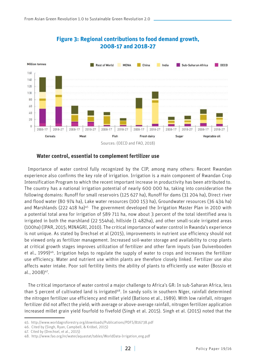

## **Figure 3: Regional contributions to food demand growth, 2008-17 and 2018-27**

### **Water control, essential to complement fertilizer use**

Importance of water control fully recognized by the CIP, among many others: Recent Rwandan experience also confirms the key role of irrigation. Irrigation is a main component of Rwandan Crop Intensification Program to which the recent important increase in productivity has been attributed to. The country has a national irrigation potential of nearly 600 000 ha, taking into consideration the following domains: Runoff for small reservoirs (125 627 ha), Runoff for dams (31 204 ha), Direct river and flood water (80 974 ha), Lake water resources (100 153 ha), Groundwater resources (36 434 ha) and Marshlands (222 418 ha)<sup>45</sup> The government developed the Irrigation Master Plan in 2010 with a potential total area for irrigation of 589 711 ha, now about 3 percent of the total identified area is irrigated in both the marshland (22 554ha), hillside (1 482ha), and other small-scale irrigated areas (100ha) (IPAR, 2015; MINAGRI, 2010). The critical importance of water control in Rwanda's experience is not unique. As stated by Drechsel et al (2015), improvements in nutrient use efficiency should not be viewed only as fertilizer management. Increased soil-water storage and availability to crop plants at critical growth stages improves utilization of fertilizer and other farm inputs (van Duivenbooden et al., 1999)<sup>46</sup>. Irrigation helps to regulate the supply of water to crops and increases the fertilizer use efficiency. Water and nutrient use within plants are therefore closely linked. Fertilizer use also affects water intake. Poor soil fertility limits the ability of plants to efficiently use water (Bossio et al., 2008)47.

The critical importance of water control a major challenge to Africa's GR: In sub-Saharan Africa, less than 5 percent of cultivated land is irrigated<sup>48</sup>. In sandy soils in southern Niger, rainfall determined the nitrogen fertilizer use efficiency and millet yield (Bationo et al., 1989). With low rainfall, nitrogen fertilizer did not affect the yield; with average or above-average rainfall, nitrogen fertilizer application increased millet grain yield fourfold to fivefold (Singh et al. 2015). Singh et al. (2015) noted that the

<sup>45.</sup> http://www.worldagroforestry.org/downloads/Publications/PDFS/B16738.pdf

<sup>46.</sup> Cited by (Singh, Ryan, Campbell, & Kröbel, 2015)

<sup>47.</sup> Cited by (Drechsel, et al., 2015)

<sup>48.</sup> http://www.fao.org/nr/water/aquastat/tables/WorldData-Irrigation\_eng.pdf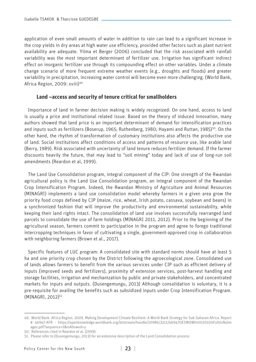application of even small amounts of water in addition to rain can lead to a significant increase in the crop yields in dry areas at high water use efficiency, provided other factors such as plant nutrient availability are adequate. Yilma et Berger (2006) concluded that the risk associated with rainfall variability was the most important determinant of fertilizer use. Irrigation has significant indirect effect on inorganic fertilizer use through its compounding effect on other variables. Under a climate change scenario of more frequent extreme weather events (e.g., droughts and floods) and greater variability in precipitation, increasing water control will become even more challenging. (World Bank, Africa Region, 2009: xviii)<sup>49</sup>

## **Land –access and security of tenure critical for smallholders**

Importance of land in farmer decision making is widely recognized: On one hand, access to land is usually a price and institutional related issue. Based on the theory of induced innovation, many authors showed that land price is an important determinant of demand for intensification practices and inputs such as fertilizers (Boserup, 1965; Ruthenberg, 1980; Hayami and Ruttan, 1985)<sup>50</sup>. On the other hand, the rhythm of transformation of customary institutions also affects the productive use of land. Social institutions affect conditions of access and patterns of resource use, like arable land (Berry, 1989). Risk associated with uncertainty of land tenure reduces fertilizer demand. If the farmer discounts heavily the future, that may lead to "soil mining" today and lack of use of long-run soil amendments (Reardon et al, 1999).

The Land Use Consolidation program, integral component of the CIP: One strength of the Rwandan agricultural policy is the Land Use Consolidation program, an integral component of the Rwandan Crop Intensification Program. Indeed, the Rwandan Ministry of Agriculture and Animal Resources (MINAGRI) implements a land use consolidation model whereby farmers in a given area grow the priority food crops defined by CIP (maize, rice, wheat, Irish potato, cassava, soybean and beans) in a synchronized fashion that will improve the productivity and environmental sustainability, while keeping their land rights intact. The consolidation of land use involves successfully rearranged land parcels to consolidate the use of farm holdings (MINAGRI 2011, 2012). Prior to the beginning of the agricultural season, farmers commit to participation in the program and agree to forego traditional intercropping techniques in favor of cultivating a single, government-approved crop in collaboration with neighboring farmers (Brown et al., 2017).

Specific features of LUC program: A consolidated site with standard norms should have at least 5 ha and one priority crop chosen by the District following the agroecological zone. Consolidated use of lands allows farmers to benefit from the various services under CIP such as efficient delivery of inputs (improved seeds and fertilizers), proximity of extension services, post-harvest handling and storage facilities, irrigation and mechanization by public and private stakeholders, and concentrated markets for inputs and outputs. (Dusengemungu, 2013) Although consolidation is voluntary, it is a pre-requisite for availing the benefits such as subsidized inputs under Crop Intensification Program. (MINAGRI, 2012)<sup>51</sup>

<sup>49.</sup> World Bank. Africa Region. 2009. Making Development Climate Resilient: A World Bank Strategy for Sub-Saharan Africa. Report # 46947-AFR - https://openknowledge.worldbank.org/bitstream/handle/10986/3211/469470ESW0Whit0t20100Full0vNoIm ages.pdf?sequence=1&isAllowed=y

<sup>50.</sup> References cited in Reardon et al. (1999)

<sup>51.</sup> Please refer to (Dusengemungu, 2013) for an extensive description of the Land Consolidation process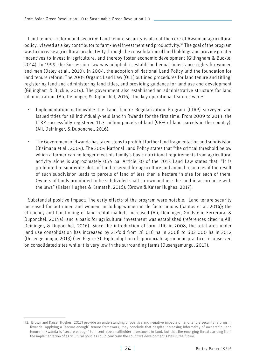Land tenure –reform and security: Land tenure security is also at the core of Rwandan agricultural policy, viewed as a key contributor to farm-level investment and productivity.52 The goal of the program was to increase agricultural productivity through the consolidation of land holdings and provide greater incentives to invest in agriculture, and thereby foster economic development (Gillingham & Buckle, 2014). In 1999, the Succession Law was adopted: it established equal inheritance rights for women and men (Daley et al., 2010). In 2004, the adoption of National Land Policy laid the foundation for land tenure reform. The 2005 Organic Land Law (OLL) outlined procedures for land tenure and titling, registering land and administering land titles, and providing guidance for land use and development (Gillingham & Buckle, 2014). The government also established an administrative structure for land administration. (Ali, Deininger, & Duponchel, 2016). The key operational features were:

- Implementation nationwide: the Land Tenure Regularization Program (LTRP) surveyed and issued titles for all individually-held land in Rwanda for the first time. From 2009 to 2013, the LTRP successfully registered 11.3 million parcels of land (98% of land parcels in the country). (Ali, Deininger, & Duponchel, 2016).
- The Government of Rwanda has taken steps to prohibit further land fragmentation and subdivision (Bizimana et al., 2004). The 2004 National Land Policy states that "the critical threshold below which a farmer can no longer meet his family's basic nutritional requirements from agricultural activity alone is approximately 0.75 ha. Article 30 of the 2013 Land Law states that: "It is prohibited to subdivide plots of land reserved for agriculture and animal resources if the result of such subdivision leads to parcels of land of less than a hectare in size for each of them. Owners of lands prohibited to be subdivided shall co-own and use the land in accordance with the laws" (Kaiser Hughes & Kamatali, 2016); (Brown & Kaiser Hughes, 2017).

Substantial positive impact: The early effects of the program were notable: Land tenure security increased for both men and women, including women in de facto unions (Santos et al. 2014); the efficiency and functioning of land rental markets increased (Ali, Deininger, Goldstein, Ferrerara, & Duponchel, 2015a); and a basis for agricultural investment was established (references cited in Ali, Deininger, & Duponchel, 2016). Since the introduction of farm LUC in 2008, the total area under land use consolidation has increased by 21-fold from 28 016 ha in 2008 to 602 000 ha in 2012 (Dusengemungu, 2013) (see Figure 3). High adoption of appropriate agronomic practices is observed on consolidated sites while it is very low in the surrounding farms (Dusengemungu, 2013).

<sup>52.</sup> Brown and Kaiser Hughes (2017) provide an understanding of positive and negative impacts of land tenure security reforms in Rwanda. Applying a "secure enough" tenure framework, they conclude that despite increasing informality of ownership, land tenure in Rwanda is "secure enough" to incentivize smallholder investment in land, but that the emerging threats arising from the implementation of agricultural policies could constrain the country's development gains in the future.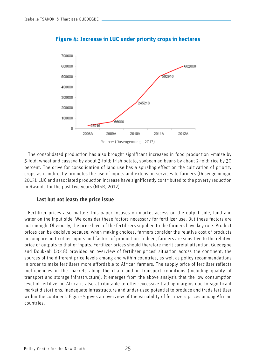

### **Figure 4: Increase in LUC under priority crops in hectares**

The consolidated production has also brought significant increases in food production –maize by 5-fold; wheat and cassava by about 3-fold; Irish potato, soybean ad beans by about 2-fold; rice by 30 percent. The drive for consolidation of land use has a spiraling effect on the cultivation of priority crops as it indirectly promotes the use of inputs and extension services to farmers (Dusengemungu, 2013). LUC and associated production increase have significantly contributed to the poverty reduction in Rwanda for the past five years (NISR, 2012).

### **Last but not least: the price issue**

Fertilizer prices also matter: This paper focuses on market access on the output side, land and water on the input side. We consider these factors necessary for fertilizer use. But these factors are not enough. Obviously, the price level of the fertilizers supplied to the farmers have key role. Product prices can be decisive because, when making choices, farmers consider the relative cost of products in comparison to other inputs and factors of production. Indeed, farmers are sensitive to the relative price of outputs to that of inputs. Fertilizer prices should therefore merit careful attention. Guedegbe and Doukkali (2018) provided an overview of fertilizer prices' situation across the continent, the sources of the different price levels among and within countries, as well as policy recommendations in order to make fertilizers more affordable to African farmers. The supply price of fertilizer reflects inefficiencies in the markets along the chain and in transport conditions (including quality of transport and storage infrastructure). It emerges from the above analysis that the low consumption level of fertilizer in Africa is also attributable to often-excessive trading margins due to significant market distortions, inadequate infrastructure and under-used potential to produce and trade fertilizer within the continent. Figure 5 gives an overview of the variability of fertilizers prices among African countries.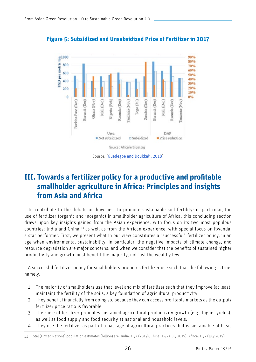#### $\frac{1000}{2}$ 00% 80% **USD** per metric 800 70% 60% 600 50% 40% 400 30% 20% 200 10%  $\overline{0}$  $0%$ Vigena (Feb) 3urundi (Dec) Burkina Faso (Dec) Burundi (Dec) Ghana (Nov) Mali (Dec) Rwanda (Dec) anzania (Nov) Togo (Jul) (ambia (Dec.) Mali (Dec) Rwanda (Dec) 'anzana (Nov) Urea DAP Not subsidized  $\square$  Subsidized  $P$ rice reduction Source: AfricaFertilizer.org

## **Figure 5: Subsidized and Unsubsidized Price of Fertilizer in 2017**

Source: (Guedegbe and Doukkali, 2018)

# **III. Towards a fertilizer policy for a productive and profitable smallholder agriculture in Africa: Principles and insights from Asia and Africa**

To contribute to the debate on how best to promote sustainable soil fertility; in particular, the use of fertilizer (organic and inorganic) in smallholder agriculture of Africa, this concluding section draws upon key insights gained from the Asian experience, with focus on its two most populous countries: India and China;53 as well as from the African experience, with special focus on Rwanda, a star performer. First, we present what in our view constitutes a "successful" fertilizer policy, in an age when environmental sustainability, in particular, the negative impacts of climate change, and resource degradation are major concerns; and when we consider that the benefits of sustained higher productivity and growth must benefit the majority, not just the wealthy few.

A successful fertilizer policy for smallholders promotes fertilizer use such that the following is true, namely:

- 1. The majority of smallholders use that level and mix of fertilizer such that they improve (at least, maintain) the fertility of the soils, a key foundation of agricultural productivity;
- 2. They benefit financially from doing so, because they can access profitable markets as the output/ fertilizer price ratio is favorable;
- 3. Their use of fertilizer promotes sustained agricultural productivity growth (e.g., higher yields); as well as food supply and food security at national and household levels;
- 4. They use the fertilizer as part of a package of agricultural practices that is sustainable of basic

<sup>53.</sup> Total (United Nations) population estimates (billion) are: India: 1.37 (2019); China: 1.42 (July 2019); Africa: 1.32 (July 2019)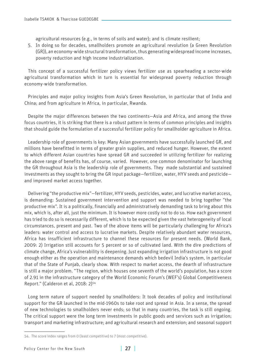agricultural resources (e.g., in terms of soils and water); and is climate resilient;

5. In doing so for decades, smallholders promote an agricultural revolution (a Green Revolution (GR)), an economy-wide structural transformation, thus generating widespread income increases, poverty reduction and high income industrialization.

This concept of a successful fertilizer policy views fertilizer use as spearheading a sector-wide agricultural transformation which in turn is essential for widespread poverty reduction through economy-wide transformation.

Principles and major policy insights from Asia's Green Revolution, in particular that of India and China; and from agriculture in Africa, in particular, Rwanda.

Despite the major differences between the two continents—Asia and Africa, and among the three focus countries, it is striking that there is a robust pattern in terms of common principles and insights that should guide the formulation of a successful fertilizer policy for smallholder agriculture in Africa.

Leadership role of governments is key: Many Asian governments have successfully launched GR, and millions have benefitted in terms of greater grain supplies, and reduced hunger. However, the extent to which different Asian countries have spread GR and succeeded in utilizing fertilizer for realizing the above range of benefits has, of course, varied. However, one common denominator for launching the GR throughout Asia is the leadership role of governments. They made substantial and sustained investments as they sought to bring the GR input package—fertilizer, water, HYV seeds and pesticide and improved market access together.

Delivering "the productive mix"—fertilizer, HYV seeds, pesticides, water, and lucrative market access, is demanding: Sustained government intervention and support was needed to bring together "the productive mix". It is a politically, financially and administratively demanding task to bring about this mix, which is, after all, just the minimum. It is however more costly not to do so. How each government has tried to do so is necessarily different, which is to be expected given the vast heterogeneity of local circumstances, present and past. Two of the above items will be particularly challenging for Africa's leaders: water control and access to lucrative markets. Despite relatively abundant water resources, Africa has insufficient infrastructure to channel these resources for present needs. (World Bank, 2009: 2) Irrigation still accounts for 5 percent or so of cultivated land. With the dire predictions of climate change, Africa's vulnerability is deepening. Just expanding irrigation infrastructure is not good enough either as the operation and maintenance demands which bedevil India's system, in particular that of the State of Punjab, clearly show. With respect to market access, the dearth of infrastructure is still a major problem. "The region, which houses one seventh of the world's population, has a score of 2.91 in the infrastructure category of the World Economic Forum's (WEF's) Global Competitiveness Report." (Calderon et al, 2018: 2)<sup>54</sup>

Long term nature of support needed by smallholders: It took decades of policy and institutional support for the GR launched in the mid-1960s to take root and spread in Asia. In a sense, the spread of new technologies to smallholders never ends; so that in many countries, the task is still ongoing. The critical support were the long term investments in public goods and services such as irrigation; transport and marketing infrastructure; and agricultural research and extension; and seasonal support

<sup>54.</sup> The score index ranges from 0 (least competitive) to 7 (most competitive).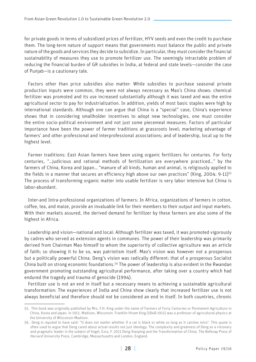for private goods in terms of subsidized prices of fertilizer, HYV seeds and even the credit to purchase them. The long-term nature of support means that governments must balance the public and private nature of the goods and services they decide to subsidize. In particular, they must consider the financial sustainability of measures they use to promote fertilizer use. The seemingly intractable problem of reducing the financial burden of GR subsidies in India, at federal and state levels—consider the case of Punjab—is a cautionary tale.

Factors other than price subsidies also matter: While subsidies to purchase seasonal private production inputs were common, they were not always necessary as Mao's China shows: chemical fertilizer was promoted and its use increased substantially although it was taxed and was the entire agricultural sector to pay for industrialization. In addition, yields of most basic staples were high by international standards. Although one can argue that China is a "special" case, China's experience shows that in considering smallholder incentives to adopt new technologies, one must consider the entire socio-political environment and not just some piecemeal measures. Factors of particular importance have been the power of farmer traditions at grassroots level; marketing advantage of farmers' and other professional and interprofessional associations; and of leadership, local up to the highest level.

Farmer traditions: East Asian farmers have been using organic fertilizers for centuries. For forty centuries, "…judicious and rational methods of fertilization are everywhere practiced…" by the farmers of China, Korea and Japan… "manure of all kinds, human and animal, is religiously applied to the fields in a manner that secures an efficiency high above our own practices" (King, 2004: 9-11)<sup>55</sup> The process of transforming organic matter into usable fertilizer is very labor intensive but China is labor-abundant.

Inter-and Intra-professional organizations of farmers: In Africa, organizations of farmers in cotton, coffee, tea, and maize, provide an invaluable link for their members to their output and input markets. With their markets assured, the derived demand for fertilizer by these farmers are also some of the highest in Africa.

Leadership and vision—national and local: Although fertilizer was taxed, it was promoted vigorously by cadres who served as extension agents in communes. The power of their leadership was primarily derived from Chairman Mao himself to whom the superiority of collective agriculture was an article of faith; so showing it to be so, was patriotism itself. Mao's vision was however not a prosperous but a politically powerful China. Deng's vision was radically different: that of a prosperous Socialist China built on strong economic foundations.56 The power of leadership is also evident in the Rwandan government promoting outstanding agricultural performance, after taking over a country which had endured the tragedy and trauma of genocide (1994).

Fertilizer use is not an end in itself but a necessary means to achieving a sustainable agricultural transformation: The experiences of India and China show clearly that increased fertilizer use is not always beneficial and therefore should not be considered an end in itself. In both countries, chronic

<sup>55.</sup> This book was originally published by Mrs. F.H. King under the name of Farmers of Forty Centuries or Permanent Agriculture in China, Korea and Japan, in 1911, Madison, Wisconsin. Franklin Hiram King (1848-1911) was a professor of agricultural physics at the University of Wisconsin-Madison.

<sup>56.</sup> Deng is reputed to have said: "It does not matter whether if a cat is black or white so long as it catches mice". This quote is often used to argue that Deng cared about actual results not just ideology. The complexity and greatness of Deng as a visionary and pragmatic leader is the subject of Vogel, Ezra, F. 2011 Deng Xiaoping and the Transformation of China. The Belknap Press of Harvard University Press, Cambridge, Massachusetts and London, England.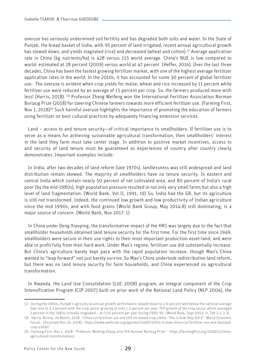overuse has seriously undermined soil fertility and has degraded both soils and water. In the State of Punjab, the bread basket of India, with 95 percent of land irrigated, recent annual agricultural growth has slowed down, and yields stagnated (rice) and decreased (wheat and cotton).<sup>57</sup> Average application rate in China (kg nutrients/ha) is 428 versus 115 world average. China's NUE is low compared to world: estimated at 28 percent (2009) versus world at 47 percent (Heffer, 2016). Over the last three decades, China has been the fastest growing fertilizer market, with one of the highest average fertilizer application rates in the world. In the 2010s, it has accounted for some 30 percent of global fertilizer use. The overuse is evident when crop yields for maize, wheat and rice increased by 11 percent while fertilizer use were reduced by an average of 15 percent per crop. So, the farmers produced more with less! (Harris, 2018). 58 Professor Zhang Weifeng won the International Fertilizer Association Norman Borlaug Prize (2018) for steering Chinese farmers towards more efficient fertilizer use. (Farming First, Nov 1, 2018)<sup>59</sup> Such harmful overuse highlights the importance of promoting the education of farmers using fertilizer on best cultural practices by adequately financing extension services.

Land – access to and tenure security—of critical importance to smallholders: If fertilizer use is to serve as a means for achieving sustainable agricultural transformation, then smallholders' interest in the land they farm must take center stage. In addition to positive market incentives, access to and security of land tenure must be guaranteed as experiences of country after country clearly demonstrates. Important examples include:

In India, after two decades of land reform (late 1970s), landlessness was still widespread and land distribution remain skewed. The majority of smallholders have no tenure security. In eastern and central India which contain nearly 50 percent of net cultivated area, and 80 percent of India's rural poor (by the mid-1980s), high population pressure resulted in not only very small farms but also a high level of land fragmentation. (World Bank, Vol II, 1991: 19) So, India had the GR, but its agriculture is still not transformed. Indeed, the continued low growth and low productivity of Indian agriculture since the mid 1990s, and with food grains (World Bank Group, May 2014:8) still dominating, is a major source of concern. (World Bank, Nov 2017: 1)

In China under Deng Xiaoping, the transformative impact of the HRS was largely due to the fact that smallholder households obtained land tenure security for the first time. For the first time since 1949, smallholders were secure in their use rights to their most important production asset-land; and were able to profit fully from their hard work. Under Mao's regime, fertilizer use did substantially increase. But China's agriculture barely kept pace with the rapid population increase, though Mao's China wanted to "leap forward" not just barely survive. So Mao's China undertook redistributive land reform, but there was no land tenure security for farm households, and China experienced no agricultural transformation.

In Rwanda, the Land Use Consolidation (LUC 2008) program, an integral component of the Crop Intensification Program (CIP 2007) built on prior work of the National Land Policy (NLP 2004), the

<sup>57.</sup> During the 1990s, Punjab's agricultural annual growth performance slowed down to 2.6 percent well below the national average that rose to 3.2 percent with the crop sector growing at only 1.3 percent per year. TFP growth of the crop sector which averaged 2 percent in the 1980s virtually stagnated – at 0.05 percent per year during 1990-96. (World Bank, Sept 2003: vi, Tab 2.2, 2.3)

<sup>58.</sup> Harris, Briony. 26 March, 2018. "China cut fertilizer use and still increased crop yields. This is how they did it". World Economic Forum. (Accessed Nov 16, 2018) - https://www.weforum.org/agenda/2018/03/this-is-how-china-cut-fertilizer-use-and-boostedcrop-yields/

<sup>59.</sup> Farming First. Nov 1, 2018. "Professor Weifeng Zhang wins IFA Norman Borlaug Prize" - https://farmingfirst.org/2018/11/chinaagricultural-transformation/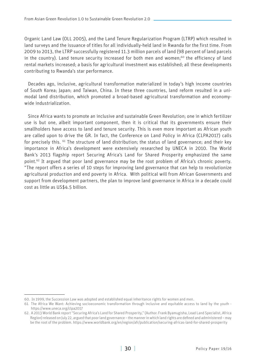Organic Land Law (OLL 2005), and the Land Tenure Regularization Program (LTRP) which resulted in land surveys and the issuance of titles for all individually-held land in Rwanda for the first time. From 2009 to 2013, the LTRP successfully registered 11.3 million parcels of land (98 percent of land parcels in the country). Land tenure security increased for both men and women;<sup>60</sup> the efficiency of land rental markets increased; a basis for agricultural investment was established; all these developments contributing to Rwanda's star performance.

Decades ago, inclusive, agricultural transformation materialized in today's high income countries of South Korea; Japan; and Taiwan, China. In these three countries, land reform resulted in a unimodal land distribution, which promoted a broad-based agricultural transformation and economywide industrialization.

Since Africa wants to promote an inclusive and sustainable Green Revolution; one in which fertilizer use is but one, albeit important component, then it is critical that its governments ensure their smallholders have access to land and tenure security. This is even more important as African youth are called upon to drive the GR. In fact, the Conference on Land Policy in Africa (CLPA2017) calls for precisely this. 61 The structure of land distribution; the status of land governance; and their key importance in Africa's development were extensively researched by UNECA in 2010. The World Bank's 2013 flagship report Securing Africa's Land for Shared Prosperity emphasized the same point.<sup>62</sup> It argued that poor land governance may be the root problem of Africa's chronic poverty. "The report offers a series of 10 steps for improving land governance that can help to revolutionize agricultural production and end poverty in Africa. With political will from African Governments and support from development partners, the plan to improve land governance in Africa in a decade could cost as little as US\$4.5 billion.

<sup>60.</sup> In 1999, the Succession Law was adopted and established equal inheritance rights for women and men.

<sup>61.</sup> The Africa We Want: Achieving socioeconomic transformation through inclusive and equitable access to land by the youth https://www.uneca.org/clpa2017

<sup>62.</sup> A 2013 World Bank report "Securing Africa's Land for Shared Prosperity," (Author: Frank Byamugisha, Lead Land Specialist, Africa Region) released on July 22, argued that poor land governance – the manner in which land rights are defined and administered – may be the root of the problem. https://www.worldbank.org/en/region/afr/publication/securing-africas-land-for-shared-prosperity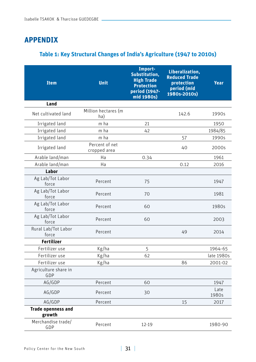# **APPENDIX**

# **Table 1: Key Structural Changes of India's Agriculture (1947 to 2010s)**

| <b>Item</b>                         | <b>Unit</b>                    | Import-<br>Substitution,<br><b>High Trade</b><br><b>Protection</b><br>period (1947-<br>mid 1980s) | Liberalization,<br><b>Reduced Trade</b><br>protection<br>period (mid<br>1980s-2010s) | <b>Year</b>   |
|-------------------------------------|--------------------------------|---------------------------------------------------------------------------------------------------|--------------------------------------------------------------------------------------|---------------|
| Land                                |                                |                                                                                                   |                                                                                      |               |
| Net cultivated land                 | Million hectares (m<br>ha)     |                                                                                                   | 142.6                                                                                | 1990s         |
| Irrigated land                      | m ha                           | 21                                                                                                |                                                                                      | 1950          |
| Irrigated land                      | m ha                           | 42                                                                                                |                                                                                      | 1984/85       |
| Irrigated land                      | m ha                           |                                                                                                   | 57                                                                                   | 1990s         |
| Irrigated land                      | Percent of net<br>cropped area |                                                                                                   | 40                                                                                   | 2000s         |
| Arable land/man                     | Ha                             | 0.34                                                                                              |                                                                                      | 1961          |
| Arable land/man                     | Ha                             |                                                                                                   | 0.12                                                                                 | 2016          |
| Labor                               |                                |                                                                                                   |                                                                                      |               |
| Ag Lab/Tot Labor<br>force           | Percent                        | 75                                                                                                |                                                                                      | 1947          |
| Ag Lab/Tot Labor<br>force           | Percent                        | 70                                                                                                |                                                                                      | 1981          |
| Ag Lab/Tot Labor<br>force           | Percent                        | 60                                                                                                |                                                                                      | 1980s         |
| Ag Lab/Tot Labor<br>force           | Percent                        | 60                                                                                                |                                                                                      | 2003          |
| Rural Lab/Tot Labor<br>force        | Percent                        |                                                                                                   | 49                                                                                   | 2014          |
| <b>Fertilizer</b>                   |                                |                                                                                                   |                                                                                      |               |
| Fertilizer use                      | Kg/ha                          | 5                                                                                                 |                                                                                      | 1964-65       |
| Fertilizer use                      | Kg/ha                          | 62                                                                                                |                                                                                      | late 1980s    |
| Fertilizer use                      | Kg/ha                          |                                                                                                   | 86                                                                                   | 2001-02       |
| Agriculture share in<br>GDP         |                                |                                                                                                   |                                                                                      |               |
| AG/GDP                              | Percent                        | 60                                                                                                |                                                                                      | 1947          |
| AG/GDP                              | Percent                        | 30                                                                                                |                                                                                      | Late<br>1980s |
| AG/GDP                              | Percent                        |                                                                                                   | 15                                                                                   | 2017          |
| <b>Trade openness and</b><br>growth |                                |                                                                                                   |                                                                                      |               |
| Merchandise trade/<br>GDP           | Percent                        | 12-19                                                                                             |                                                                                      | 1980-90       |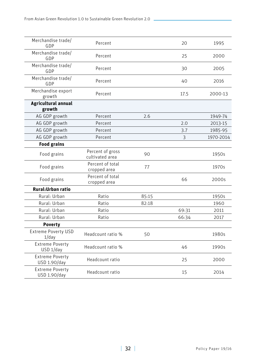| Merchandise trade/<br>GDP              | Percent                             |       | 20   | 1995      |
|----------------------------------------|-------------------------------------|-------|------|-----------|
| Merchandise trade/<br>GDP              | Percent                             |       | 25   | 2000      |
| Merchandise trade/<br>GDP              | Percent                             |       | 30   | 2005      |
| Merchandise trade/<br>GDP              | Percent                             |       | 40   | 2016      |
| Merchandise export<br>growth           | Percent                             |       | 17.5 | 2000-13   |
| Agricultural annual<br>growth          |                                     |       |      |           |
| AG GDP growth                          | Percent                             | 2.6   |      | 1949-74   |
| AG GDP growth                          | Percent                             |       | 2.0  | 2013-15   |
| AG GDP growth                          | Percent                             |       | 3.7  | 1985-95   |
| AG GDP growth                          | Percent                             |       | 3    | 1970-2014 |
| <b>Food grains</b>                     |                                     |       |      |           |
| Food grains                            | Percent of gross<br>cultivated area | 90    |      | 1950s     |
| Food grains                            | Percent of total<br>cropped area    | 77    |      | 1970s     |
| Food grains                            | Percent of total<br>cropped area    |       | 66   | 2000s     |
| <b>Rural: Urban ratio</b>              |                                     |       |      |           |
| Rural: Urban                           | Ratio                               | 85:15 |      | 1950s     |
| Rural: Urban                           | Ratio                               | 82:18 |      | 1960      |
| Rural: Urban                           | Ratio<br>69:31                      |       |      | 2011      |
| Rural: Urban                           | Ratio                               |       |      | 2017      |
| <b>Poverty</b>                         |                                     |       |      |           |
| <b>Extreme Poverty USD</b><br>$1$ /day | Headcount ratio %                   | 50    |      | 1980s     |
| <b>Extreme Poverty</b><br>USD 1/day    | Headcount ratio %                   |       | 46   | 1990s     |
| <b>Extreme Poverty</b><br>USD 1.90/day | Headcount ratio                     |       | 25   | 2000      |
| <b>Extreme Poverty</b><br>USD 1.90/day | Headcount ratio                     |       | 15   | 2014      |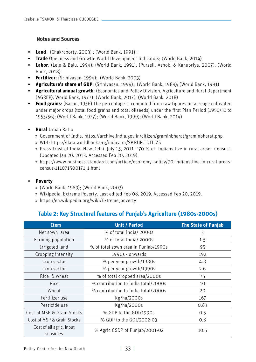## **Notes and Sources**

- **• Land** : (Chakraborty, 2003) ; (World Bank, 1991) ;
- **• Trade** Openness and Growth: World Development Indicators; (World Bank, 2014)
- **• Labor**: (Lele & Balu, 1994); (World Bank, 1991); (Pursell, Ashok, & Kanupriya, 2007); (World Bank, 2018)
- **• Fertilizer**: (Srinivasan, 1994); (World Bank, 2003)
- **• Agriculture's share of GDP**: (Srinivasan, 1994) ; (World Bank, 1989); (World Bank, 1991)
- **• Agricultural annual growth**: (Economics and Policy Division, Agriculture and Rural Department (AGREP), World Bank, 1977); (World Bank, 2017); (World Bank, 2018)
- **• Food grains**: (Bacon, 1956) The percentage is computed from raw figures on acreage cultivated under major crops (total food grains and total oilseeds) under the first Plan Period (1950/51 to 1955/56); (World Bank, 1977); (World Bank, 1999); (World Bank, 2014)
- **• Rural**:Urban Ratio
	- » Government of India: https://archive.india.gov.in/citizen/graminbharat/graminbharat.php
	- » WDI: https://data.worldbank.org/indicator/SP.RUR.TOTL.ZS
	- » Press Trust of India. New Delhi. July 15, 2011. "70 % of Indians live in rural areas: Census". (Updated Jan 20, 2013. Accessed Feb 20, 2019).
	- » https://www.business-standard.com/article/economy-policy/70-indians-live-in-rural-areascensus-111071500171\_1.html

## **• Poverty**

- » (World Bank, 1989); (World Bank, 2003)
- » Wikipedia. Extreme Poverty. Last edited Feb 08, 2019. Accessed Feb 20, 2019.
- » https://en.wikipedia.org/wiki/Extreme\_poverty

# **Table 2: Key Structural features of Punjab's Agriculture (1980s-2000s)**

| <b>Item</b>                           | <b>Unit / Period</b>                 | <b>The State of Punjab</b> |
|---------------------------------------|--------------------------------------|----------------------------|
| Net sown area                         | % of total India/2000s               | 3                          |
| Farming population                    | % of total India/2000s               | 1.5                        |
| Irrigated land                        | % of total sown area in Punjab/1990s | 95                         |
| Cropping intensity                    | 1990s - onwards                      | 192                        |
| Crop sector                           | % per year growth/1980s              | 4.8                        |
| Crop sector                           | % per year growth/1990s              | 2.6                        |
| Rice & wheat                          | % of total cropped area/2000s        | 75                         |
| Rice                                  | % contribution to India total/2000s  | 10                         |
| Wheat                                 | % contribution to India total/2000s  | 20                         |
| Fertilizer use                        | Kg/ha/2000s                          | 167                        |
| Pesticide use                         | Kg/ha/2000s                          | 0.83                       |
| Cost of MSP & Grain Stocks            | % GDP to the GOI/1990s               | 0.5                        |
| Cost of MSP & Grain Stocks            | % GDP to the GOI/2002-03             | 0.8                        |
| Cost of all agric. input<br>subsidies | % Agric GSDP of Punjab/2001-02       | 10.5                       |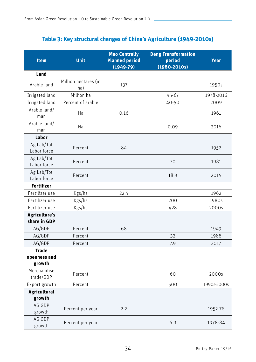# **Table 3: Key structural changes of China's Agriculture (1949-2010s)**

| <b>Item</b>                            | <b>Unit</b>                | <b>Mao Centrally</b><br><b>Planned period</b><br>$(1949-79)$ | <b>Deng Transformation</b><br>period<br>$(1980 - 2010s)$ | <b>Year</b> |
|----------------------------------------|----------------------------|--------------------------------------------------------------|----------------------------------------------------------|-------------|
| Land                                   |                            |                                                              |                                                          |             |
| Arable land                            | Million hectares (m<br>ha) | 137                                                          |                                                          | 1950s       |
| Irrigated land                         | Million ha                 |                                                              | $45 - 67$                                                | 1978-2016   |
| Irrigated land                         | Percent of arable          |                                                              | 40-50                                                    | 2009        |
| Arable land/<br>man                    | Ha                         | 0.16                                                         |                                                          | 1961        |
| Arable land/<br>man                    | Ha                         |                                                              | 0.09                                                     | 2016        |
| Labor                                  |                            |                                                              |                                                          |             |
| Ag Lab/Tot<br>Labor force              | Percent                    | 84                                                           |                                                          | 1952        |
| Ag Lab/Tot<br>Labor force              | Percent                    |                                                              | 70                                                       | 1981        |
| Ag Lab/Tot<br>Labor force              | Percent                    |                                                              | 18.3                                                     | 2015        |
| <b>Fertilizer</b>                      |                            |                                                              |                                                          |             |
| Fertilizer use                         | Kgs/ha                     | 22.5                                                         |                                                          | 1962        |
| Fertilizer use                         | Kgs/ha                     |                                                              | 200                                                      | 1980s       |
| Fertilizer use                         | Kgs/ha                     |                                                              | 428                                                      | 2000s       |
| Agriculture's<br>share in GDP          |                            |                                                              |                                                          |             |
| AG/GDP                                 | Percent                    | 68                                                           |                                                          | 1949        |
| AG/GDP                                 | Percent                    |                                                              | 32                                                       | 1988        |
| AG/GDP                                 | Percent                    |                                                              | 7.9                                                      | 2017        |
| <b>Trade</b><br>openness and<br>growth |                            |                                                              |                                                          |             |
| Merchandise<br>trade/GDP               | Percent                    |                                                              | 60                                                       | 2000s       |
| Export growth                          | Percent                    |                                                              | 500                                                      | 1990s-2000s |
| <b>Agricultural</b><br>growth          |                            |                                                              |                                                          |             |
| AG GDP<br>growth                       | Percent per year           | 2.2                                                          |                                                          | 1952-78     |
| AG GDP<br>growth                       | Percent per year           |                                                              | 6.9                                                      | 1978-84     |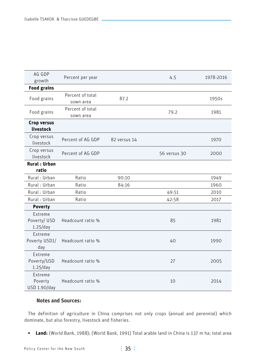| AG GDP<br>growth                       | Percent per year              |              | 4.5          | 1978-2016 |
|----------------------------------------|-------------------------------|--------------|--------------|-----------|
| <b>Food grains</b>                     |                               |              |              |           |
| Food grains                            | Percent of total<br>sown area | 87.2         |              | 1950s     |
| Food grains                            | Percent of total<br>sown area |              | 79.2         | 1981      |
| <b>Crop versus</b><br>livestock        |                               |              |              |           |
| Crop versus<br>livestock               | Percent of AG GDP             | 82 versus 14 |              | 1970      |
| Crop versus<br>livestock               | Percent of AG GDP             |              | 56 versus 30 | 2000      |
| <b>Rural: Urban</b><br>ratio           |                               |              |              |           |
| Rural: Urban                           | Ratio                         | 90:10        |              | 1949      |
| Rural: Urban                           | Ratio                         | 84:16        |              | 1960      |
| Rural: Urban                           | Ratio                         |              | 49:51        | 2010      |
| Rural: Urban                           | Ratio                         |              | 42:58        | 2017      |
| <b>Poverty</b>                         |                               |              |              |           |
| Extreme<br>Poverty/ USD<br>$1.25$ /day | Headcount ratio %             |              | 85           | 1981      |
| Extreme<br>Poverty USD1/<br>day        | Headcount ratio %             |              | 40           | 1990      |
| Extreme<br>Poverty/USD<br>$1.25$ /day  | Headcount ratio %             |              | 27           | 2005      |
| Extreme<br>Poverty<br>USD 1.90/day     | Headcount ratio %             |              | 10           | 2014      |

### **Notes and Sources:**

The definition of agriculture in China comprises not only crops (annual and perennial) which dominate, but also forestry, livestock and fisheries.

**• Land:** (World Bank, 1988); (World Bank, 1991) Total arable land in China is 137 m ha; total area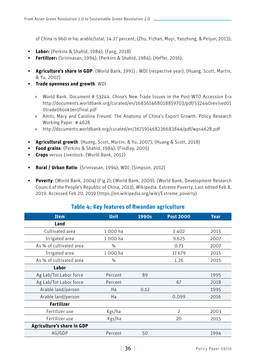of China is 960 m ha; arable/total: 14.27 percent; (Zhu, Yizhan, Muyi, Yaozhong, & Peijun, 2013);

- **• Labor:** (Perkins & Shahid, 1984); (Fang, 2018)
- **• Fertilizer:** (Srinivasan, 1994); (Perkins & Shahid, 1984); (Heffer, 2016);
- **• Agriculture's share in GDP**: (World Bank, 1991) ; WDI (respective year); (Huang, Scott, Martin, & Yu, 2007)
- **• Trade openness and growth**: WDI
	- » World Bank. Document # 53244. China's New Trade Issues in the Post WTO Accession Era http://documents.worldbank.org/curated/en/168361468018859703/pdf/532440revised01 0trade0book1en1final.pdf
	- » Amiti, Mary and Caroline Freund. The Anatomy of China's Export Growth. Policy Research Working Paper # 4628
	- » http://documents.worldbank.org/curated/en/167191468236683844/pdf/wps4628.pdf
- **• Agricultural growth**: (Huang, Scott, Martin, & Yu, 2007); (Huang & Scott, 2018)
- **• Food grains**: (Perkins & Shahid, 1984); (Findlay, 2005)
- **• Crops** versus Livestock: (World Bank, 2012)
- **• Rural / Urban Ratio**: (Srinivasan, 1994); WDI; (Simpson, 2012)
- **• Poverty**: (World Bank, 2004) (Fig 2); (World Bank, 2009); (World Bank, Development Research Council of the People's Republic of China, 2013); Wikipedia. Extreme Poverty. Last edited Feb 8, 2019. Accessed Feb 20, 2019 (https://en.wikipedia.org/wiki/Extreme\_poverty)

| <b>Item</b>                | <b>Unit</b> | 1990s | <b>Post 2000</b> | <b>Year</b> |
|----------------------------|-------------|-------|------------------|-------------|
| Land                       |             |       |                  |             |
| Cultivated area            | 1000 ha     |       | 1402             | 2015        |
| Irrigated area             | 1000 ha     |       | 9.625            | 2007        |
| As % of cultivated area    | %           |       | 0.71             | 2007        |
| Irrigated area             | 1000 ha     |       | 17.679           | 2015        |
| As % of cultivated area    | %           |       | 1.26             | 2015        |
| Labor                      |             |       |                  |             |
| Ag Lab/Tot Labor force     | Percent     | 89    |                  | 1995        |
| Ag Lab/Tot Labor force     | Percent     |       | 67               | 2018        |
| Arable land/person         | Ha          | 0.12  |                  | 1995        |
| Arable land/person         | Ha          |       | 0.099            | 2016        |
| <b>Fertilizer</b>          |             |       |                  |             |
| Fertilizer use             | Kgs/ha      |       | 2                | 2003        |
| Fertilizer use             | Kgs/ha      |       | 20               | 2015        |
| Agriculture's share in GDP |             |       |                  |             |
| AG/GDP                     | Percent     | 50    |                  | 1994        |

## **Table 4: Key features of Rwandan agriculture**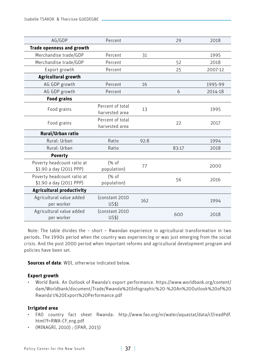| AG/GDP                                                | Percent                            |      | 29    | 2018    |
|-------------------------------------------------------|------------------------------------|------|-------|---------|
| <b>Trade openness and growth</b>                      |                                    |      |       |         |
| Merchandise trade/GDP                                 | Percent                            | 31   |       | 1995    |
| Merchandise trade/GDP                                 | Percent                            |      | 52    | 2018    |
| Export growth                                         | Percent                            |      | 25    | 2007-12 |
| <b>Agricultural growth</b>                            |                                    |      |       |         |
| AG GDP growth                                         | Percent                            | 16   |       | 1995-99 |
| AG GDP growth                                         | Percent                            |      | 6     | 2014-18 |
| <b>Food grains</b>                                    |                                    |      |       |         |
| Food grains                                           | Percent of total<br>harvested area | 13   |       | 1995    |
| Food grains                                           | Percent of total<br>harvested area |      | 22    | 2017    |
| Rural/Urban ratio                                     |                                    |      |       |         |
| Rural: Urban                                          | Ratio                              | 92:8 |       | 1994    |
| Rural: Urban                                          | Ratio                              |      | 83:17 | 2018    |
| <b>Poverty</b>                                        |                                    |      |       |         |
| Poverty headcount ratio at<br>\$1.90 a day (2011 PPP) | (% of<br>population)               | 77   |       | 2000    |
| Poverty headcount ratio at<br>\$1.90 a day (2011 PPP) | (% of<br>population)               |      | 56    | 2016    |
| <b>Agricultural productivity</b>                      |                                    |      |       |         |
| Agricultural value added<br>per worker                | (constant 2010<br>US\$             | 162  |       | 1994    |
| Agricultural value added<br>per worker                | (constant 2010<br>US\$             |      | 600   | 2018    |

Note: The table divides the – short – Rwandan experience in agricultural transformation in two periods. The 1990s period when the country was experiencing or was just emerging from the social crisis. And the post 2000 period when important reforms and agricultural development program and policies have been set.

**Sources of data**: WDI, otherwise indicated below.

### **Export growth**

• World Bank. An Outlook of Rwanda's export performance. https://www.worldbank.org/content/ dam/Worldbank/document/Trade/Rwanda%20Infographic%20-%20An%20Outlook%20of%20 Rwanda's%20Export%20Performance.pdf

### **Irrigated area**

- FAO country fact sheet Rwanda: http://www.fao.org/nr/water/aquastat/data/cf/readPdf. html?f=RWA-CF\_eng.pdf
- (MINAGRI, 2010) ; (IPAR, 2015)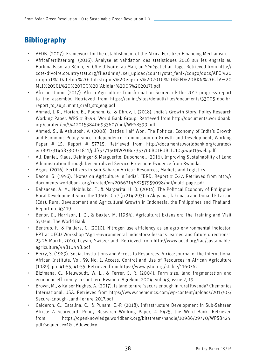# **Bibliography**

- AFDB. (2007). Framework for the establishment of the Africa Fertilizer Financing Mechanism.
- AfricaFertilizer.org. (2016). Analyse et validation des statistiques 2016 sur les engrais au Burkina Faso, au Bénin, en Côte d'Ivoire, au Mali, au Sénégal et au Togo. Retrieved from http:// cote-divoire.countrystat.org/fileadmin/user\_upload/countrystat\_fenix/congo/docs/AFO%20 rapport%20atelier%20statistiques%20engrais%202016%20BEN%20BKN%20CIV%20 MLI%20SGL%20%20TOG%20(Abidjan%2005%202017).pdf
- African Union. (2017). Africa Agriculture Transformation Scorecard: the 2017 progress report to the assembly. Retrieved from https://au.int/sites/default/files/documents/33005-doc-br\_ report\_to\_au\_summit\_draft\_stc\_eng.pdf
- Ahmad, J. K., Florian, B., Poonam, G., & Dhruv, J. (2018). India's Growth Story. Policy Research Working Paper. WPS # 8599. World Bank Group. Retrieved from http://documents.worldbank. org/curated/en/941201538406933607/pdf/WPS8599.pdf
- Ahmed, S., & Ashutosh, V. (2008). Battles Half Won: The Political Economy of India's Growth and Economic Policy Since Independence. Commission on Growth and Development, Working Paper # 15. Report # 57715. Retrieved from http://documents.worldbank.org/curated/ en/891731468330971811/pdf/577150NWP0Box353766B01PUBLIC10gcwp015web.pdf
- Ali, Daniel; Klaus, Deininger & Marguerite, Duponchel. (2016). Improving Sustainability of Land Administration through Decentralized Service Provision: Evidence from Rwanda.
- Argus. (2016). Fertilizers in Sub-Saharan Africa : Resources, Markets and Logistics.
- Bacon, G. (1956). "Notes on Agriculture in India". IBRD. Report # C-27. Retrieved from http:// documents.worldbank.org/curated/en/206621468257959098/pdf/multi-page.pdf
- Balisacan, A. M., Nobihuko, F., & Margarita, H. D. (2004). The Political Economy of Philippine Rural Development Since the 1960s. Ch 7 (p 214-293) in Akiyama, Takimasa and Donald F Larson (Eds). Rural Development and Agricultural Growth in Indonesia, the Philippines and Thailand. Report no. 43119.
- Benor, D., Harrison, J. Q., & Baxter, M. (1984). Agricultural Extension: The Training and Visit System. The World Bank.
- Bentrup, F., & Palliere, C. (2010). Nitrogen use efficiency as an agro-environmental indicator. PPT at OECD Workshop "Agri-environmental indicators: lessons learned and future directions". 23-26 March, 2010, Leysin, Switzerland. Retrieved from http://www.oecd.org/tad/sustainableagriculture/44810448.pdf
- Berry, S. (1989). Social Institutions and Access to Resources. Africa: Journal of the International African Institute, Vol. 59, No. 1, Access, Control and Use of Resources in African Agriculture (1989), pp. 41-55, 41-55. Retrieved from https://www.jstor.org/stable/1160762
- Bizimana, C., Nieuwoudt, W. L., & Ferrer, S. R. (2004). Farm size, land fragmentation and economic efficiency in southern Rwanda. Agrekon, 2004, vol. 43, issue 2, 19.
- Brown, M., & Kaiser Hughes, A. (2017). Is land tenure "secure enough in rural Rwanda? Chemonics International, USA. Retrieved from https://www.chemonics.com/wp-content/uploads/2017/03/ Secure-Enough-Land-Tenure\_2017.pdf
- Calderon, C., Catalina, C., & Punam, C.-P. (2018). Infrastructure Development in Sub-Saharan Africa: A Scorecard. Policy Research Working Paper, # 8425, the Word Bank. Retrieved from https://openknowledge.worldbank.org/bitstream/handle/10986/29770/WPS8425. pdf?sequence=1&isAllowed=y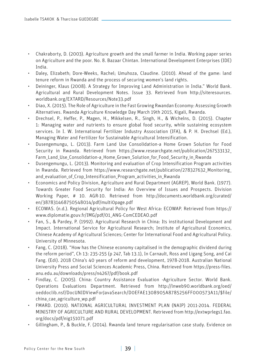- Chakraborty, D. (2003). Agriculture growth and the small farmer in India. Working paper series on Agriculture and the poor. No. 8. Bazaar Chintan. International Development Enterprises (IDE) India.
- Daley, Elizabeth; Dore-Weeks, Rachel; Umuhoza, Claudine. (2010). Ahead of the game: land tenure reform in Rwanda and the process of securing women's land rights.
- Deininger, Klaus (2008). A Strategy for Improving Land Administration in India." World Bank. Agricultural and Rural Development Notes. Issue 33. Retrieved from http://siteresources. worldbank.org/EXTARD/Resources/Note33.pdf
- Diao, X. (2015). The Role of Agriculture in the Fast Growing Rwandan Economy: Assessing Growth Alternatives. Rwanda Agriculture Knowledge Day March 19th 2015, Kigali, Rwanda.
- Drechsel, P., Heffer, P., Magen, H., Mikkelsen, R., Singh, H., & Wichelns, D. (2015). Chapter 1: Managing water and nutrients to ensure global food security, while sustaining ecosystem services. In I. W. International Fertilizer Industry Association (IFA), & P. H. Drechsel (Ed.), Managing Water and Fertilizer for Sustainable Agricultural Intensification.
- Dusengemungu, L. (2013). Farm Land Use Consolidation-a Home Grown Solution for Food Security in Rwanda. Retrieved from https://www.researchgate.net/publication/267533132\_ Farm\_Land\_Use\_Consolidation-a\_Home\_Grown\_Solution\_for\_Food\_Security\_in\_Rwanda
- Dusengemungu, L. (2013). Monitoring and evaluation of Crop Intensification Program activities in Rwanda. Retrieved from https://www.researchgate.net/publication/278327632\_Monitoring\_ and evaluation of Crop Intensification Program activities in Rwanda
- Economics and Policy Division, Agriculture and Rural Department (AGREP), World Bank. (1977). Towards Greater Food Security for India: An Overview of Issues and Prospects. Division Working Paper, # 10. AGR-10. Retrieved from http://documents.worldbank.org/curated/ en/387831468750548014/pdf/multi0page.pdf
- ECOWAS. (n.d.). Regional Agricultural Policy for West Africa: ECOWAP. Retrieved from https:// www.diplomatie.gouv.fr/IMG/pdf/01\_ANG-ComCEDEAO.pdf
- Fan, S., & Pardey, P. (1992). Agricultural Research in China: Its institutional Development and Impact. International Service for Agricultural Research; Institute of Agricultural Economics, Chinese Academy of Agricultural Sciences; Center for International Food and Agricultural Policy. University of Minnesota.
- Fang, C. (2018). "How has the Chinese economy capitalised in the demographic dividend during the reform period", Ch 13: 235-255 (p 247, Tab 13.1), In Carnault, Ross and Ligang Song, and Cai Fang. (Edi). 2018 China's 40 years of reform and development, 1978-2018. Australian National University Press and Social Sciences Academic Press, China. Retrieved from https://press-files. anu.edu.au/downloads/press/n4267/pdf/book.pdf
- Findlay, C. (2005). China: Country Assistance Evaluation -Agriculture Sector. World Bank. Operations Evaluations Department. Retrieved from http://lnweb90.worldbank.org/oed/ oeddoclib.nsf/DocUNIDViewForJavaSearch/D0EFAE1308905A8785256FF000573A11/\$file/ china\_cae\_agriculture\_wp.pdf
- FMARD. (2010). NATIONAL AGRICULTURAL INVESTMENT PLAN (NAIP) 2011-2014. FEDERAL MINISTRY OF AGRICULTURE AND RURAL DEVELOPMENT. Retrieved from http://extwprlegs1.fao. org/docs/pdf/nig151071.pdf
- Gillingham, P., & Buckle, F. (2014). Rwanda land tenure regularisation case study. Evidence on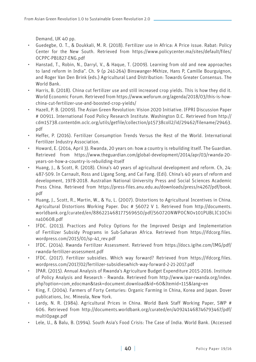Demand, UK 40 pp.

- Guedegbe, O. T., & Doukkali, M. R. (2018). Fertilizer use in Africa: A Price issue. Rabat: Policy Center for the New South. Retrieved from https://www.policycenter.ma/sites/default/files/ OCPPC-PB1827-ENG.pdf
- Hanstad, T., Robin, N., Darryl, V., & Haque, T. (2009). Learning from old and new approaches to land reform in India". Ch. 9 (p 241-264) Binswanger-Mkhize, Hans P, Camille Bourguignon, and Roger Van Den Brink (eds.) Agricultural Land Distribution: Towards Greater Consensus. The World Bank.
- Harris, B. (2018). China cut fertilizer use and still increased crop yields. This is how they did it. World Economic Forum. Retrieved from https://www.weforum.org/agenda/2018/03/this-is-howchina-cut-fertilizer-use-and-boosted-crop-yields/
- Hazell, P. B. (2009). The Asian Green Revolution: Vision 2020 Initiative. IFPRI Discussion Paper # 00911. International Food Policy Research Institute. Washington D.C. Retrieved from http:// cdm15738.contentdm.oclc.org/utils/getfile/collection/p15738coll2/id/29462/filename/29463. pdf
- Heffer, P. (2016). Fertilizer Consumption Trends Versus the Rest of the World. International Fertilizer Industry Association.
- Howard, E. (2014, April 3). Rwanda, 20 years on: how a country is rebuilding itself. The Guardian. Retrieved from https://www.theguardian.com/global-development/2014/apr/03/rwanda-20 years-on-how-a-country-is-rebuilding-itself
- Huang, J., & Scott, R. (2018). China's 40 years of agricultural development and reform. Ch, 24: 487-509. In Carnault, Ross and Ligang Song, and Cai Fang. (Edi). China's 40 years of reform and development, 1978-2018. Australian National University Press and Social Sciences Academic Press China. Retrieved from https://press-files.anu.edu.au/downloads/press/n4267/pdf/book. pdf
- Huang, J., Scott, R., Martin, W., & Yu, L. (2007). Distortions to Agricultural Incentives in China. Agricultural Distortions Working Paper. Doc # 56072 V 1. Retrieved from http://documents. worldbank.org/curated/en/886221468177569650/pdf/560720NWP0CN0v101PUBLIC10Chi na10608.pdf
- IFDC. (2013). Practices and Policy Options for the Improved Design and Implementation of Fertilizer Subsidy Programs in Sub-Saharan Africa. Retrieved from https://ifdcorg.files. wordpress.com/2015/01/sp-41\_rev.pdf
- IFDC. (2014). Rwanda Fertilizer Assessment. Retrieved from https://docs.igihe.com/IMG/pdf/ rwanda-fertilizer-assessment.pdf
- IFDC. (2017). Fertilizer subsidies. Which way forward? Retrieved from https://ifdcorg.files. wordpress.com/2017/02/fertilizer-subsidieswhich-way-forward-2-21-2017.pdf
- IPAR. (2015). Annual Analysis of Rwanda's Agriculture Budget Expenditure 2015-2016. Institute of Policy Analysis and Research - Rwanda. Retrieved from http://www.ipar-rwanda.org/index. php?option=com\_edocman&task=document.download&id=60&Itemid=115&lang=en
- King, F. (2004). Farmers of Forty Centuries: Organic Farming in China, Korea and Japan. Dover publications, Inc. Mineola, New York.
- Lardy, N. R. (1984). Agricultural Prices in China. World Bank Staff Working Paper, SWP # 606. Retrieved from http://documents.worldbank.org/curated/en/409241468746793467/pdf/ multi0page.pdf
- Lele, U., & Balu, B. (1994). South Asia's Food Crisis: The Case of India. World Bank. (Accessed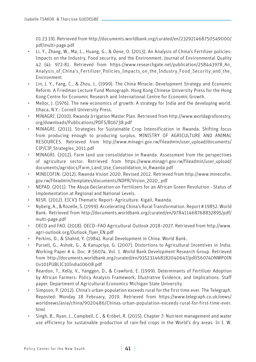01 23 19). Retrieved from http://documents.worldbank.org/curated/en/232921468750549000/ pdf/multi-page.pdf

- Li, Y., Zhang, W., Ma, L., Huang, G., & Oene, O. (2013). An Analysis of China's Fertilizer policies: Impacts on the Industry, Food security, and the Environment. Journal of Environmental Quality 42 (4): 972-81. Retrieved from https://www.researchgate.net/publication/258443978\_An\_ Analysis of China's Fertilizer Policies Impacts on the Industry Food Security and the Environment
- Lin, J. Y., Fang, C., & Zhou, L. (1999). The China Miracle: Development Strategy and Economic Reform. A Friedman Lecture Fund Monograph. Hong Kong Chinese University Press for the Hong Kong Centre for Economic Research and International Centre for Economic Growth. .
- Mellor, J. (1976). The new economics of growth: A strategy for India and the developing world. Ithaca, N.Y.: Cornell University Press.
- MINAGRI. (2010). Rwanda Irrigation Master Plan. Retrieved from http://www.worldagroforestry. org/downloads/Publications/PDFS/B16738.pdf
- MINAGRI. (2011). Strategies for Sustainable Crop Intensification in Rwanda. Shifting focus from producing enough to producing surplus. MINISTRY OF AGRICULTURE AND ANIMAL RESOURCES. Retrieved from http://www.minagri.gov.rw/fileadmin/user\_upload/documents/ CIP/CIP\_Strategies\_2011.pdf
- MINAGRI. (2012). Farm land use consolidation in Rwanda. Assessment from the perspectives of agriculture sector. Retrieved from https://www.minagri.gov.rw/fileadmin/user\_upload/ documents/agridocs/Farm Land Use Consolidation in Rwanda.pdf
- MINECOFIN. (2012). Rwanda Vision 2020. Revised 2012. Retrieved from http://www.minecofin. gov.rw/fileadmin/templates/documents/NDPR/Vision\_2020\_.pdf
- NEPAD. (2011). The Abuja Declaration on Fertilizers for an African Green Revolution Status of Implementation at Regional and National Levels.
- NISR. (2012). EICV3 Thematic Report- Agriculture. Kigali, Rwanda.
- Nyberg, A., & Rozelle, S. (1999). Accelerating China's Rural Transformation. Report # 19852. World Bank. Retrieved from http://documents.worldbank.org/curated/en/978411468768832895/pdf/ multi-page.pdf
- OECD and FAO. (2018). OECD–FAO Agricultural Outlook 2018–2027. Retrieved from http://www. agri-outlook.org/Outlook\_flyer\_EN.pdf
- Perkins, D., & Shahid, Y. (1984). Rural Development in China. World Bank.
- Pursell, G., Ashok, G., & Kanupriya, G. (2007). Distortions to Agricultural Incentives in India. Working Paper # 4. Doc. # 56074. Vol. 1. World Bank Development Research Group. Retrieved from http://documents.worldbank.org/curated/en/935231468182040647/pdf/560740NWP0IN 0v101PUBLIC10India10608.pdf
- Reardon, T., Kelly, V., Yanggen, D., & Crawford, E. (1999). Determinants of Fertilizer Adoption by African Farmers: Policy Analysis Framework, Illustrative Evidence, and Implications. Staff paper. Department of Agricultural Economics Michigan State University.
- Simpson, P. (2012). China's urban population exceeds rural for the first time ever. The Telegraph. Reposted: Monday 18 February, 2019. Retrieved from https://www.telegraph.co.uk/news/ worldnews/asia/china/9020486/Chinas-urban-population-exceeds-rural-for-first-time-ever. html
- Singh, B., Ryan, J., Campbell, C., & Kröbel, R. (2015). Chapter 7: Nutrient management and water use efficiency for sustainable production of rain-fed crops in the World's dry areas. In I. W.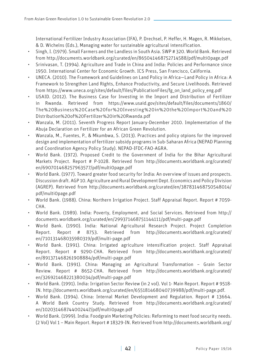International Fertilizer Industry Association (IFA), P. Drechsel, P. Heffer, H. Magen, R. Mikkelsen, & D. Wichelns (Eds.), Managing water for sustainable agricultural intensification.

- Singh, I. (1979). Small Farmers and the Landless in South Asia. SWP # 320. World Bank. Retrieved from http://documents.worldbank.org/curated/en/865041468752714588/pdf/multi0page.pdf
- Srinivasan, T. (1994). Agriculture and Trade in China and India: Policies and Performance since 1950. International Center for Economic Growth. ICS Press, San Francisco, California.
- UNECA. (2010). The Framework and Guidelines on Land Policy in Africa—Land Policy in Africa: A Framework to Strengthen Land Rights, Enhance Productivity, and Secure Livelihoods. Retrieved from https://www.uneca.org/sites/default/files/PublicationFiles/fg\_on\_land\_policy\_eng.pdf
- USAID. (2012). The Business Case for Investing in the Import and Distribution of Fertilizer in Rwanda. Retrieved from https://www.usaid.gov/sites/default/files/documents/1860/ The%20Business%20Case%20for%20Investing%20in%20the%20Import%20and%20 Distribution%20of%20Fertilizer%20in%20Rwanda.pdf
- Wanzala, M. (2011). Seventh Progress Report January-December 2010. Implementation of the Abuja Declaration on Fertilizer for an African Green Revolution.
- Wanzala, M., Fuentes, P., & Mkumbwa, S. (2013). Practices and policy otpions for the improved design and implementation of fertilizer subsidy programs in Sub-Saharan Africa (NEPAD Planning and Coordination Agency Policy Study). NEPAD-IFDC-FAO-AGRA.
- World Bank. (1972). Proposed Credit to the Government of India for the Bihar Agricultural Markets Project. Report # P-1028. Retrieved from http://documents.worldbank.org/curated/ en/690701468257963577/pdf/multi0page.pdf
- World Bank. (1977). Toward greater food security for India: An overview of issues and prospects. Discussion draft. AGP 10. Agriculture and Rural Development Dept. Economics and Policy Division (AGREP). Retrieved from http://documents.worldbank.org/curated/en/387831468750548014/ pdf/multi0page.pdf
- World Bank. (1988). China: Northern Irrigation Project. Staff Appraisal Report. Report # 7059- CHA.
- World Bank. (1989). India: Poverty, Employment, and Social Services. Retrieved from http:// documents.worldbank.org/curated/en/299371468751144111/pdf/multi-page.pdf
- World Bank. (1990). India: National Agricultural Research Project. Project Completion Report. Report # 8753. Retrieved from http://documents.worldbank.org/curated/ en/710131468035980319/pdf/multi-page.pdf
- World Bank. (1991). China: Irrigated agriculture intensification project. Staff Appraisal Report. Report # 9290-CHA. Retrieved from http://documents.worldbank.org/curated/ en/891371468261908884/pdf/multi-page.pdf
- World Bank. (1991). China: Managing an Agricultural Transformation Grain Sector Review. Report # 8652-CHA. Retrieved from http://documents.worldbank.org/curated/ en/326921468221380034/pdf/multi-page.pdf
- World Bank. (1991). India: Irrigation Sector Review (in 2 vol). Vol 1- Main Report. Report # 9518- IN. http://documents.worldbank.org/curated/en/655181468040739988/pdf/multi-page.pdf.
- World Bank. (1994). China: Internal Market Development and Regulation. Report # 13664. A World Bank Country Study. Retrieved from http://documents.worldbank.org/curated/ en/102031468744002447/pdf/multi0page.pdf
- World Bank. (1999). India: Foodgrain Marketing Policies: Reforming to meet food security needs. (2 Vol) Vol 1 – Main Report. Report # 18329-IN. Retrieved from http://documents.worldbank.org/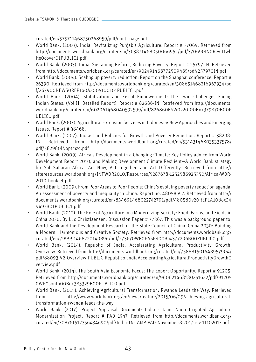curated/en/575711468750268959/pdf/multi-page.pdf

- World Bank. (2003). India: Revitalizing Punjab's Agriculture. Report # 37069. Retrieved from http://documents.worldbank.org/curated/en/363871468050066952/pdf/370690IN0Revit1wh ite0cover01PUBLIC1.pdf
- World Bank. (2003). India: Sustaining Reform, Reducing Poverty. Report # 25797-IN. Retrieved from http://documents.worldbank.org/curated/en/902491468772509485/pdf/257970IN.pdf
- World Bank. (2004). Scaling up poverty reduction: Report on the Shanghai conference. Report # 26390. Retrieved from http://documents.worldbank.org/curated/en/308651468216967934/pd f/263900NEWS0REP1o0A2005100101PUBLIC1.pdf
- World Bank. (2004). Stabilization and Fiscal Empowerment: The Twin Challenges Facing Indian States. (Vol II. Detailed Report). Report # 82686-IN. Retrieved from http://documents. worldbank.org/curated/en/602061468040592599/pdf/826860ESW0v20I00Box379870B00P UBLIC0.pdf
- World Bank. (2007). Agricultural Extension Services in Indonesia: New Approaches and Emerging Issues. Report # 38468.
- World Bank. (2007). India: Land Policies for Growth and Poverty Reduction. Report # 38298- IN. Retrieved from http://documents.worldbank.org/curated/en/531431468035337578/ pdf/382980INoptmzd.pdf
- World Bank. (2009). Africa's Development in a Changing Climate: Key Policy advice from World Development Report 2010, and Making Development Climate Resilient—A World Bank strategy for Sub-Saharan Africa. Act Now, Act Together, and Act Differently. Retrieved from http:// siteresources.worldbank.org/INTWDR2010/Resources/5287678-1252586925350/Africa-WDR-2010-booklet.pdf
- World Bank. (2009). From Poor Areas to Poor People: China's evolving poverty reduction agenda. An assessment of poverty and inequality in China. Report no. 48058 V 2. Retrieved from http:// documents.worldbank.org/curated/en/834691468022742791/pdf/480580v20REPLA10Box34 9497B01PUBLIC1.pdf
- World Bank. (2012). The Role of Agriculture in a Modernizing Society: Food, Farms, and Fields in China 2030. By Luc Christiaensen. Discussion Paper # 77367. This was a background paper to: World Bank and the Development Research of the State Council of China. China 2030: Building a Modern, Harmonious and Creative Society. Retrieved from http://documents.worldbank.org/ curated/en/799991468220149896/pdf/773670WP0EASER00Box377296B00PUBLIC0.pdf
- World Bank. (2014). Republic of India: Accelerating Agricultural Productivity Growth: Overview. Retrieved from http://documents.worldbank.org/curated/en/758881501648957904/ pdf/88093-V2-Overview-PUBLIC-RepublicofIndiaAcceleratingAgriculturalProductivityGrowthO verview.pdf
- World Bank. (2014). The South Asia Economic Focus: The Export Opportunity. Report # 91205. Retrieved from http://documents.worldbank.org/curated/en/960621468180251622/pdf/91205 0WP0south00Box385329B00PUBLIC0.pdf
- World Bank. (2015). Achieving Agricultural Transformation: Rwanda Leads the Way. Retrieved from http://www.worldbank.org/en/news/feature/2015/06/09/achieving-agriculturaltransformation-rwanda-leads-the-way
- World Bank. (2017). Project Appraisal Document: India Tamil Nadu Irrigated Agriculture Modernization Project, Report # PAD 1947. Retrieved from http://documents.worldbank.org/ curated/en/708761512356434690/pdf/India-TN-IAMP-PAD-November-8-2017-rev-11102017.pdf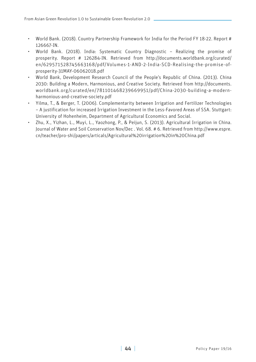- World Bank. (2018). Country Partnership Framework for India for the Period FY 18-22. Report # 126667-IN.
- World Bank. (2018). India: Systematic Country Diagnostic Realizing the promise of prosperity. Report # 126284-IN. Retrieved from http://documents.worldbank.org/curated/ en/629571528745663168/pdf/Volumes-1-AND-2-India-SCD-Realising-the-promise-ofprosperity-31MAY-06062018.pdf
- World Bank, Development Research Council of the People's Republic of China. (2013). China 2030: Building a Modern, Harmonious, and Creative Society. Retrieved from http://documents. worldbank.org/curated/en/781101468239669951/pdf/China-2030-building-a-modernharmonious-and-creative-society.pdf
- Yilma, T., & Berger, T. (2006). Complementarity between Irrigation and Fertilizer Technologies – A justification for increased Irrigation Investment in the Less-Favored Areas of SSA. Stuttgart: University of Hohenheim, Department of Agricultural Economics and Social.
- Zhu, X., Yizhan, L., Muyi, L., Yaozhong, P., & Peijun, S. (2013). Agricultural Irrigation in China. Journal of Water and Soil Conservation Nov/Dec . Vol. 68. # 6. Retrieved from http://www.espre. cn/teacher/pro-shi/papers/articals/Agricultural%20irrigation%20in%20China.pdf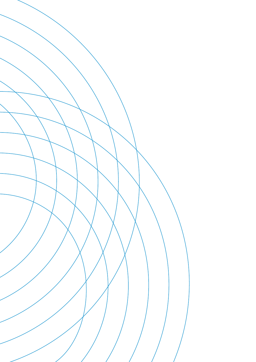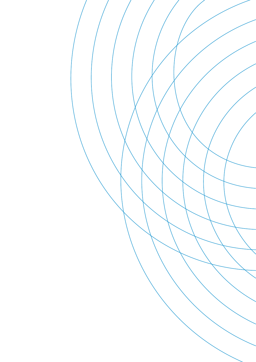